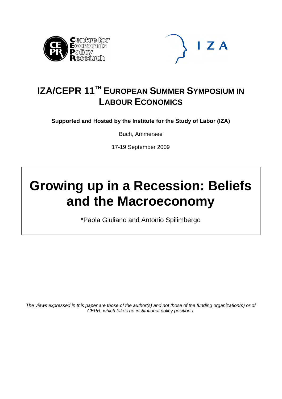



### **IZA/CEPR 11<sup>TH</sup> EUROPEAN SUMMER SYMPOSIUM IN LABOUR ECONOMICS**

**Supported and Hosted by the Institute for the Study of Labor (IZA)** 

Buch, Ammersee

17-19 September 2009

# **Growing up in a Recession: Beliefs and the Macroeconomy**

\*Paola Giuliano and Antonio Spilimbergo

*The views expressed in this paper are those of the author(s) and not those of the funding organization(s) or of CEPR, which takes no institutional policy positions.*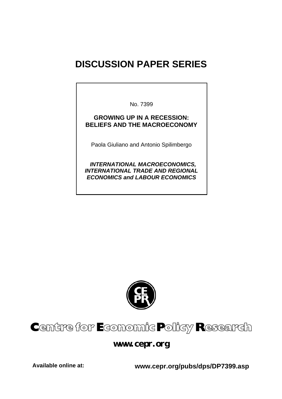## **DISCUSSION PAPER SERIES**

No. 7399

#### **GROWING UP IN A RECESSION: BELIEFS AND THE MACROECONOMY**

Paola Giuliano and Antonio Spilimbergo

 *INTERNATIONAL MACROECONOMICS, INTERNATIONAL TRADE AND REGIONAL ECONOMICS and LABOUR ECONOMICS* 



# Centre for Economic Policy Research

**www.cepr.org** 

**Available online at: www.cepr.org/pubs/dps/DP7399.asp**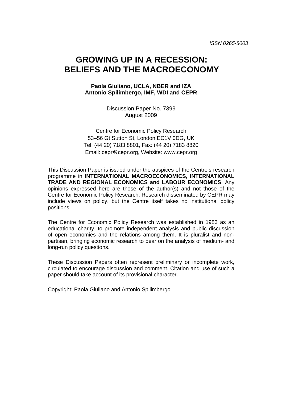### **GROWING UP IN A RECESSION: BELIEFS AND THE MACROECONOMY**

#### **Paola Giuliano, UCLA, NBER and IZA Antonio Spilimbergo, IMF, WDI and CEPR**

Discussion Paper No. 7399 August 2009

Centre for Economic Policy Research 53–56 Gt Sutton St, London EC1V 0DG, UK Tel: (44 20) 7183 8801, Fax: (44 20) 7183 8820 Email: cepr@cepr.org, Website: www.cepr.org

This Discussion Paper is issued under the auspices of the Centre's research programme in **INTERNATIONAL MACROECONOMICS, INTERNATIONAL TRADE AND REGIONAL ECONOMICS and LABOUR ECONOMICS**. Any opinions expressed here are those of the author(s) and not those of the Centre for Economic Policy Research. Research disseminated by CEPR may include views on policy, but the Centre itself takes no institutional policy positions.

The Centre for Economic Policy Research was established in 1983 as an educational charity, to promote independent analysis and public discussion of open economies and the relations among them. It is pluralist and nonpartisan, bringing economic research to bear on the analysis of medium- and long-run policy questions.

These Discussion Papers often represent preliminary or incomplete work, circulated to encourage discussion and comment. Citation and use of such a paper should take account of its provisional character.

Copyright: Paola Giuliano and Antonio Spilimbergo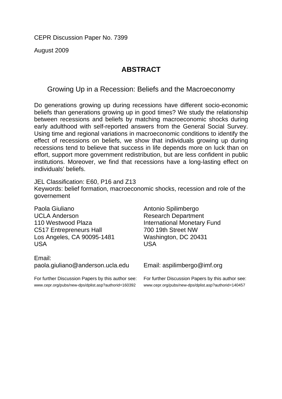CEPR Discussion Paper No. 7399

August 2009

### **ABSTRACT**

Growing Up in a Recession: Beliefs and the Macroeconomy

Do generations growing up during recessions have different socio-economic beliefs than generations growing up in good times? We study the relationship between recessions and beliefs by matching macroeconomic shocks during early adulthood with self-reported answers from the General Social Survey. Using time and regional variations in macroeconomic conditions to identify the effect of recessions on beliefs, we show that individuals growing up during recessions tend to believe that success in life depends more on luck than on effort, support more government redistribution, but are less confident in public institutions. Moreover, we find that recessions have a long-lasting effect on individuals' beliefs.

JEL Classification: E60, P16 and Z13 Keywords: belief formation, macroeconomic shocks, recession and role of the governement

Paola Giuliano UCLA Anderson 110 Westwood Plaza C517 Entrepreneurs Hall Los Angeles, CA 90095-1481 USA

Email: paola.giuliano@anderson.ucla.edu

For further Discussion Papers by this author see: www.cepr.org/pubs/new-dps/dplist.asp?authorid=160392

Antonio Spilimbergo Research Department International Monetary Fund 700 19th Street NW Washington, DC 20431 USA

Email: aspilimbergo@imf.org

For further Discussion Papers by this author see: www.cepr.org/pubs/new-dps/dplist.asp?authorid=140457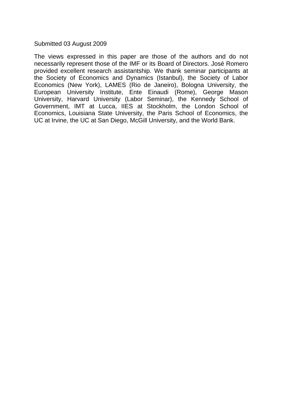Submitted 03 August 2009

The views expressed in this paper are those of the authors and do not necessarily represent those of the IMF or its Board of Directors. José Romero provided excellent research assistantship. We thank seminar participants at the Society of Economics and Dynamics (Istanbul), the Society of Labor Economics (New York), LAMES (Rio de Janeiro), Bologna University, the European University Institute, Ente Einaudi (Rome), George Mason University, Harvard University (Labor Seminar), the Kennedy School of Government, IMT at Lucca, IIES at Stockholm, the London School of Economics, Louisiana State University, the Paris School of Economics, the UC at Irvine, the UC at San Diego, McGill University, and the World Bank.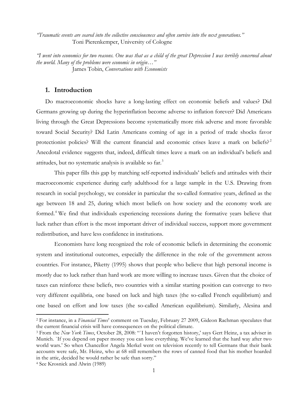*"Traumatic events are seared into the collective consciousness and often survive into the next generations."* Toni Pierenkemper, University of Cologne

*"I went into economics for two reasons. One was that as a child of the great Depression I was terribly concerned about the world. Many of the problems were economic in origin…"* James Tobin, *Conversations with Economists* 

#### **1. Introduction**

Do macroeconomic shocks have a long-lasting effect on economic beliefs and values? Did Germans growing up during the hyperinflation become adverse to inflation forever? Did Americans living through the Great Depressions become systematically more risk adverse and more favorable toward Social Security? Did Latin Americans coming of age in a period of trade shocks favor protectionist policies? Will the current financial and economic crises leave a mark on beliefs?<sup>[2](#page-5-0)</sup> Anecdotal evidence suggests that, indeed, difficult times leave a mark on an individual's beliefs and attitudes, but no systematic analysis is available so far.[3](#page-5-1)

This paper fills this gap by matching self-reported individuals' beliefs and attitudes with their macroeconomic experience during early adulthood for a large sample in the U.S. Drawing from research in social psychology, we consider in particular the so-called formative years, defined as the age between 18 and 25, during which most beliefs on how society and the economy work are formed.<sup>[4](#page-5-2)</sup> We find that individuals experiencing recessions during the formative years believe that luck rather than effort is the most important driver of individual success, support more government redistribution, and have less confidence in institutions.

Economists have long recognized the role of economic beliefs in determining the economic system and institutional outcomes, especially the difference in the role of the government across countries. For instance, Piketty (1995) shows that people who believe that high personal income is mostly due to luck rather than hard work are more willing to increase taxes. Given that the choice of taxes can reinforce these beliefs, two countries with a similar starting position can converge to two very different equilibria, one based on luck and high taxes (the so-called French equilibrium) and one based on effort and low taxes (the so-called American equilibrium). Similarly, Alesina and

<u>.</u>

<span id="page-5-0"></span><sup>2</sup> For instance, in a *Financial Times*' comment on Tuesday, February 27 2009, Gideon Rachman speculates that the current financial crisis will have consequences on the political climate.

<span id="page-5-1"></span><sup>&</sup>lt;sup>3</sup> From the *New York Times*, October 28, 2008: "<sup>'</sup>I haven't forgotten history,' says Gert Heinz, a tax adviser in Munich. `If you depend on paper money you can lose everything. We've learned that the hard way after two world wars.' So when Chancellor Angela Merkel went on television recently to tell Germans that their bank accounts were safe, Mr. Heinz, who at 68 still remembers the rows of canned food that his mother hoarded in the attic, decided he would rather be safe than sorry."

<span id="page-5-2"></span><sup>4</sup> See Krosnick and Alwin (1989)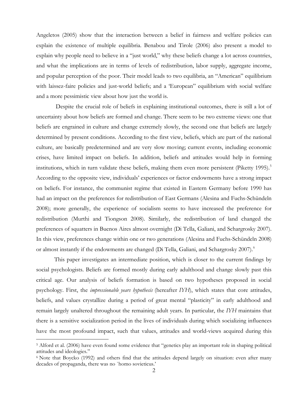Angeletos (2005) show that the interaction between a belief in fairness and welfare policies can explain the existence of multiple equilibria. Benabou and Tirole (2006) also present a model to explain why people need to believe in a "just world," why these beliefs change a lot across countries, and what the implications are in terms of levels of redistribution, labor supply, aggregate income, and popular perception of the poor. Their model leads to two equilibria, an "American" equilibrium with laissez-faire policies and just-world beliefs; and a 'European'' equilibrium with social welfare and a more pessimistic view about how just the world is.

 Despite the crucial role of beliefs in explaining institutional outcomes, there is still a lot of uncertainty about how beliefs are formed and change. There seem to be two extreme views: one that beliefs are engrained in culture and change extremely slowly, the second one that beliefs are largely determined by present conditions. According to the first view, beliefs, which are part of the national culture, are basically predetermined and are very slow moving; current events, including economic crises, have limited impact on beliefs. In addition, beliefs and attitudes would help in forming institutions, which in turn validate these beliefs, making them even more persistent (Piketty 199[5](#page-6-0)).<sup>5</sup> According to the opposite view, individuals' experiences or factor endowments have a strong impact on beliefs. For instance, the communist regime that existed in Eastern Germany before 1990 has had an impact on the preferences for redistribution of East Germans (Alesina and Fuchs-Schündeln 2008); more generally, the experience of socialism seems to have increased the preference for redistribution (Murthi and Tiongson 2008). Similarly, the redistribution of land changed the preferences of squatters in Buenos Aires almost overnight (Di Tella, Galiani, and Schargrosky 2007). In this view, preferences change within one or two generations (Alesina and Fuchs-Schündeln 2008) or almost instantly if the endowments are changed (Di Tella, Galiani, and Schargrosky 2007).<sup>[6](#page-6-1)</sup>

This paper investigates an intermediate position, which is closer to the current findings by social psychologists. Beliefs are formed mostly during early adulthood and change slowly past this critical age. Our analysis of beliefs formation is based on two hypotheses proposed in social psychology. First, the *impressionable years hypothesis* (hereafter *IYH*), which states that core attitudes, beliefs, and values crystallize during a period of great mental "plasticity" in early adulthood and remain largely unaltered throughout the remaining adult years. In particular, the *IYH* maintains that there is a sensitive socialization period in the lives of individuals during which socializing influences have the most profound impact, such that values, attitudes and world-views acquired during this

<span id="page-6-0"></span><sup>5</sup> Alford et al. (2006) have even found some evidence that "genetics play an important role in shaping political attitudes and ideologies."

<span id="page-6-1"></span><sup>6</sup> Note that Boycko (1992) and others find that the attitudes depend largely on situation: even after many decades of propaganda, there was no `homo sovieticus.'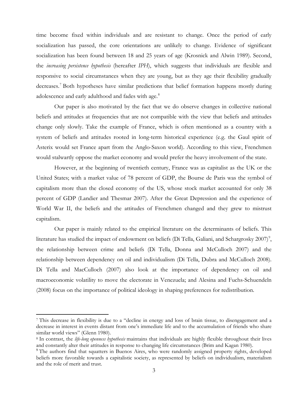time become fixed within individuals and are resistant to change. Once the period of early socialization has passed, the core orientations are unlikely to change. Evidence of significant socialization has been found between 18 and 25 years of age (Krosnick and Alwin 1989). Second, the *increasing persistence hypothesis* (hereafter *IPH*), which suggests that individuals are flexible and responsive to social circumstances when they are young, but as they age their flexibility gradually decreases.<sup>[7](#page-7-0)</sup> Both hypotheses have similar predictions that belief formation happens mostly during adolescence and early adulthood and fades with age.<sup>[8](#page-7-1)</sup>

Our paper is also motivated by the fact that we do observe changes in collective national beliefs and attitudes at frequencies that are not compatible with the view that beliefs and attitudes change only slowly. Take the example of France, which is often mentioned as a country with a system of beliefs and attitudes rooted in long-term historical experience (e.g. the Gaul spirit of Asterix would set France apart from the Anglo-Saxon world). According to this view, Frenchmen would stalwartly oppose the market economy and would prefer the heavy involvement of the state.

However, at the beginning of twentieth century, France was as capitalist as the UK or the United States; with a market value of 78 percent of GDP, the Bourse de Paris was the symbol of capitalism more than the closed economy of the US, whose stock market accounted for only 38 percent of GDP (Landier and Thesmar 2007). After the Great Depression and the experience of World War II, the beliefs and the attitudes of Frenchmen changed and they grew to mistrust capitalism.

Our paper is mainly related to the empirical literature on the determinants of beliefs. This literature has studied the impact of endowment on beliefs (Di Tella, Galiani, and Schargrosky 2007)<sup>[9](#page-7-2)</sup>, the relationship between crime and beliefs (Di Tella, Donna and McCulloch 2007) and the relationship between dependency on oil and individualism (Di Tella, Dubra and McCulloch 2008). Di Tella and MacCulloch (2007) also look at the importance of dependency on oil and macroeconomic volatility to move the electorate in Venezuela; and Alesina and Fuchs-Schuendeln (2008) focus on the importance of political ideology in shaping preferences for redistribution.

<u>.</u>

<span id="page-7-0"></span><sup>7</sup> This decrease in flexibility is due to a "decline in energy and loss of brain tissue, to disengagement and a decrease in interest in events distant from one's immediate life and to the accumulation of friends who share similar world views" (Glenn 1980).

<span id="page-7-1"></span><sup>8</sup> In contrast, the *life-long openness hypothesis* maintains that individuals are highly flexible throughout their lives and constantly alter their attitudes in response to changing life circumstances (Brim and Kagan 1980).

<span id="page-7-2"></span><sup>9</sup> The authors find that squatters in Buenos Aires, who were randomly assigned property rights, developed beliefs more favorable towards a capitalistic society, as represented by beliefs on individualism, materialism and the role of merit and trust.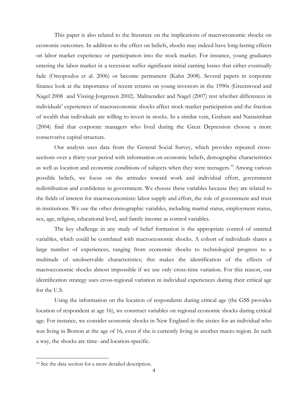This paper is also related to the literature on the implications of macroeconomic shocks on economic outcomes. In addition to the effect on beliefs, shocks may indeed have long-lasting effects on labor market experience or participation into the stock market. For instance, young graduates entering the labor market in a recession suffer significant initial earning losses that either eventually fade (Oreopoulos et al. 2006) or become permanent (Kahn 2008). Several papers in corporate finance look at the importance of recent returns on young investors in the 1990s (Greenwood and Nagel 2008 and Vissing-Jorgensen 2002). Malmendier and Nagel (2007) test whether differences in individuals' experiences of macroeconomic shocks affect stock market participation and the fraction of wealth that individuals are willing to invest in stocks. In a similar vein, Graham and Narasimhan (2004) find that corporate managers who lived during the Great Depression choose a more conservative capital structure.

Our analysis uses data from the General Social Survey, which provides repeated crosssections over a thirty-year period with information on economic beliefs, demographic characteristics as well as location and economic conditions of subjects when they were teenagers.<sup>10</sup> Among various possible beliefs, we focus on the attitudes toward work and individual effort, government redistribution and confidence in government. We choose these variables because they are related to the fields of interest for macroeconomists: labor supply and effort, the role of government and trust in institutions. We use the other demographic variables, including marital status, employment status, sex, age, religion, educational level, and family income as control variables.

The key challenge in any study of belief formation is the appropriate control of omitted variables, which could be correlated with macroeconomic shocks. A cohort of individuals shares a large number of experiences, ranging from economic shocks to technological progress to a multitude of unobservable characteristics; this makes the identification of the effects of macroeconomic shocks almost impossible if we use only cross-time variation. For this reason, our identification strategy uses cross-regional variation in individual experiences during their critical age for the U.S.

Using the information on the location of respondents during critical age (the GSS provides location of respondent at age 16), we construct variables on regional economic shocks during critical age. For instance, we consider economic shocks in New England in the sixties for an individual who was living in Boston at the age of 16, even if she is currently living in another macro region. In such a way, the shocks are time- and location-specific.

<u>.</u>

<span id="page-8-0"></span><sup>10</sup> See the data section for a more detailed description.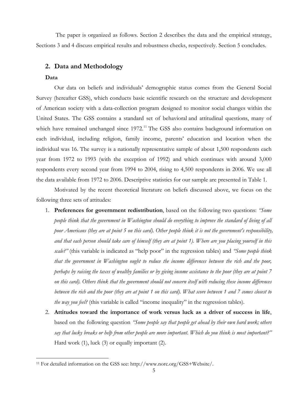The paper is organized as follows. Section 2 describes the data and the empirical strategy, Sections 3 and 4 discuss empirical results and robustness checks, respectively. Section 5 concludes.

#### **2. Data and Methodology**

#### **Data**

 $\overline{a}$ 

Our data on beliefs and individuals' demographic status comes from the General Social Survey (hereafter GSS), which conducts basic scientific research on the structure and development of American society with a data-collection program designed to monitor social changes within the United States. The GSS contains a standard set of behavioral and attitudinal questions, many of which have remained unchanged since 1972.<sup>11</sup> The GSS also contains background information on each individual, including religion, family income, parents' education and location when the individual was 16. The survey is a nationally representative sample of about 1,500 respondents each year from 1972 to 1993 (with the exception of 1992) and which continues with around 3,000 respondents every second year from 1994 to 2004, rising to 4,500 respondents in 2006. We use all the data available from 1972 to 2006. Descriptive statistics for our sample are presented in Table 1.

Motivated by the recent theoretical literature on beliefs discussed above, we focus on the following three sets of attitudes:

- 1. **Preferences for government redistribution**, based on the following two questions: *"Some people think that the government in Washington should do everything to improve the standard of living of all poor Americans (they are at point 5 on this card). Other people think it is not the government's responsibility, and that each person should take care of himself (they are at point 1). Where are you placing yourself in this scale?"* (this variable is indicated as "help poor" in the regression tables) and *"Some people think that the government in Washington ought to reduce the income differences between the rich and the poor, perhaps by raising the taxes of wealthy families or by giving income assistance to the poor (they are at point 7 on this card). Others think that the government should not concern itself with reducing these income differences between the rich and the poor (they are at point 1 on this card). What score between 1 and 7 comes closest to the way you feel?* (this variable is called "income inequality" in the regression tables).
- 2. **Attitudes toward the importance of work versus luck as a driver of success in life**, based on the following question *"Some people say that people get ahead by their own hard work; others say that lucky breaks or help from other people are more important. Which do you think is most important?"* Hard work (1), luck (3) or equally important (2).

<span id="page-9-0"></span><sup>11</sup> For detailed information on the GSS see: http://www.norc.org/GSS+Website/.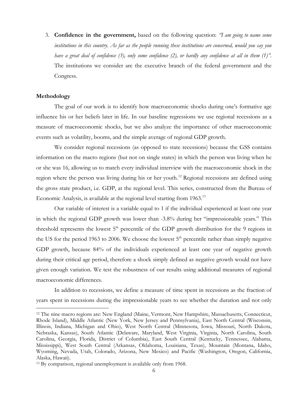3. **Confidence in the government,** based on the following question: *"I am going to name some institutions in this country. As far as the people running these institutions are concerned, would you say you have a great deal of confidence (3), only some confidence (2), or hardly any confidence at all in them (1)"*. The institutions we consider are the executive branch of the federal government and the Congress.

#### **Methodology**

 $\overline{a}$ 

The goal of our work is to identify how macroeconomic shocks during one's formative age influence his or her beliefs later in life. In our baseline regressions we use regional recessions as a measure of macroeconomic shocks, but we also analyze the importance of other macroeconomic events such as volatility, booms, and the simple average of regional GDP growth.

We consider regional recessions (as opposed to state recessions) because the GSS contains information on the macro regions (but not on single states) in which the person was living when he or she was 16, allowing us to match every individual interview with the macroeconomic shock in the region where the person was living during his or her youth.<sup>[12](#page-10-0)</sup> Regional recessions are defined using the gross state product, i.e. GDP, at the regional level. This series, constructed from the Bureau of Economic Analysis, is available at the regional level starting from 1963.<sup>13</sup>

Our variable of interest is a variable equal to 1 if the individual experienced at least one year in which the regional GDP growth was lower than -3.8% during her "impressionable years." This threshold represents the lowest  $5<sup>th</sup>$  percentile of the GDP growth distribution for the 9 regions in the US for the period 1963 to 2006. We choose the lowest  $5<sup>th</sup>$  percentile rather than simply negative GDP growth, because 84% of the individuals experienced at least one year of negative growth during their critical age period, therefore a shock simply defined as negative growth would not have given enough variation. We test the robustness of our results using additional measures of regional macroeconomic differences.

In addition to recessions, we define a measure of time spent in recessions as the fraction of years spent in recessions during the impressionable years to see whether the duration and not only

<span id="page-10-0"></span><sup>12</sup> The nine macro regions are: New England (Maine, Vermont, New Hampshire, Massachusetts, Connecticut, Rhode Island), Middle Atlantic (New York, New Jersey and Pennsylvania), East North Central (Wisconsin, Illinois, Indiana, Michigan and Ohio), West North Central (Minnesota, Iowa, Missouri, North Dakota, Nebraska, Kansas), South Atlantic (Delaware, Maryland, West Virginia, Virginia, North Carolina, South Carolina, Georgia, Florida, District of Columbia), East South Central (Kentucky, Tennessee, Alabama, Mississippi), West South Central (Arkansas, Oklahoma, Louisiana, Texas), Mountain (Montana, Idaho, Wyoming, Nevada, Utah, Colorado, Arizona, New Mexico) and Pacific (Washington, Oregon, California, Alaska, Hawaii).

<span id="page-10-1"></span><sup>13</sup> By comparison, regional unemployment is available only from 1968.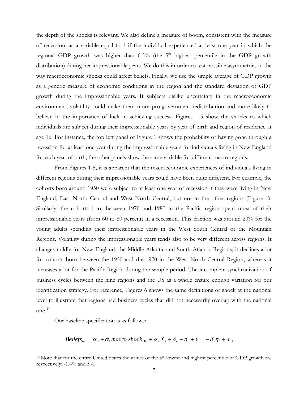the depth of the shocks is relevant. We also define a measure of boom, consistent with the measure of recession, as a variable equal to 1 if the individual experienced at least one year in which the regional GDP growth was higher than  $6.5\%$  (the  $5<sup>th</sup>$  highest percentile in the GDP growth distribution) during her impressionable years. We do this in order to test possible asymmetries in the way macroeconomic shocks could affect beliefs. Finally, we use the simple average of GDP growth as a generic measure of economic conditions in the region and the standard deviation of GDP growth during the impressionable years. If subjects dislike uncertainty in the macroeconomic environment, volatility could make them more pro-government redistribution and more likely to believe in the importance of luck in achieving success. Figures 1-5 show the shocks to which individuals are subject during their impressionable years by year of birth and region of residence at age 16. For instance, the top left panel of Figure 1 shows the probability of having gone through a recession for at least one year during the impressionable years for individuals living in New England for each year of birth; the other panels show the same variable for different macro-regions.

From Figures 1-5, it is apparent that the macroeconomic experiences of individuals living in different regions during their impressionable years could have been quite different. For example, the cohorts born around 1950 were subject to at least one year of recession if they were living in New England, East North Central and West North Central, but not in the other regions (Figure 1). Similarly, the cohorts born between 1970 and 1980 in the Pacific region spent most of their impressionable years (from 60 to 80 percent) in a recession. This fraction was around 20% for the young adults spending their impressionable years in the West South Central or the Mountain Regions. Volatility during the impressionable years tends also to be very different across regions. It changes mildly for New England, the Middle Atlantic and South Atlantic Regions; it declines a lot for cohorts born between the 1950 and the 1970 in the West North Central Region, whereas it increases a lot for the Pacific Region during the sample period. The incomplete synchronization of business cycles between the nine regions and the US as a whole ensure enough variation for our identification strategy. For reference, Figures 6 shows the same definitions of shock at the national level to illustrate that regions had business cycles that did not necessarily overlap with the national one.[14](#page-11-0)

Our baseline specification is as follows:

 $\overline{a}$ 

*Beliefs*<sub>irt</sub> =  $\alpha_0 + \alpha_1$  *macro* shock<sub>r16</sub> +  $\alpha_2 X_i + \delta_r + \eta_1 + \gamma_{r16} + \delta_r \eta_1 + \varepsilon_{irt}$ 

<span id="page-11-0"></span><sup>&</sup>lt;sup>14</sup> Note that for the entire United States the values of the 5<sup>th</sup> lowest and highest percentile of GDP growth are respectively: -1.4% and 5%.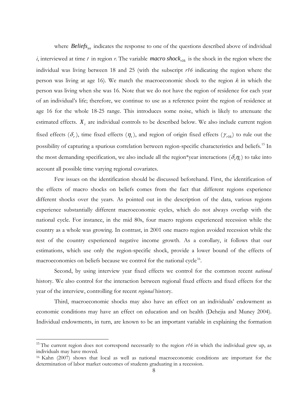where *Beliefs<sub>irt</sub>* indicates the response to one of the questions described above of individual

 $i$ , interviewed at time  $t$  in region  $r$ . The variable *macro* shock<sub>r16</sub> is the shock in the region where the individual was living between 18 and 25 (with the subscript *r16* indicating the region where the person was living at age 16). We match the macroeconomic shock to the region *k* in which the person was living when she was 16. Note that we do not have the region of residence for each year of an individual's life; therefore, we continue to use as a reference point the region of residence at age 16 for the whole 18-25 range. This introduces some noise, which is likely to attenuate the estimated effects.  $X_i$  are individual controls to be described below. We also include current region fixed effects  $(\delta_r)$ , time fixed effects  $(\eta_t)$ , and region of origin fixed effects  $(\gamma_{r16})$  to rule out the possibility of capturing a spurious correlation between region-specific characteristics and beliefs.<sup>15</sup> In the most demanding specification, we also include all the region\*year interactions ( $\delta_r \eta_t$ ) to take into account all possible time varying regional covariates.

Few issues on the identification should be discussed beforehand. First, the identification of the effects of macro shocks on beliefs comes from the fact that different regions experience different shocks over the years. As pointed out in the description of the data, various regions experience substantially different macroeconomic cycles, which do not always overlap with the national cycle. For instance, in the mid 80s, four macro regions experienced recession while the country as a whole was growing. In contrast, in 2001 one macro region avoided recession while the rest of the country experienced negative income growth. As a corollary, it follows that our estimations, which use only the region-specific shock, provide a lower bound of the effects of macroeconomics on beliefs because we control for the national cycle<sup>16</sup>.

Second, by using interview year fixed effects we control for the common recent *national* history. We also control for the interaction between regional fixed effects and fixed effects for the year of the interview, controlling for recent *regional* history.

Third, macroeconomic shocks may also have an effect on an individuals' endowment as economic conditions may have an effect on education and on health (Dehejia and Muney 2004). Individual endowments, in turn, are known to be an important variable in explaining the formation

<span id="page-12-0"></span><sup>&</sup>lt;sup>15</sup> The current region does not correspond necessarily to the region  $r16$  in which the individual grew up, as individuals may have moved.

<span id="page-12-1"></span><sup>16</sup> Kahn (2007) shows that local as well as national macroeconomic conditions are important for the determination of labor market outcomes of students graduating in a recession.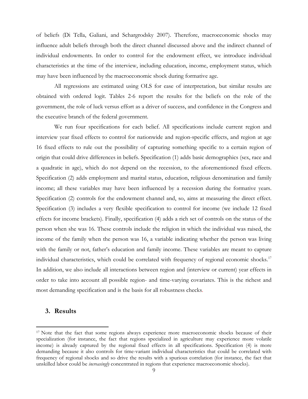of beliefs (Di Tella, Galiani, and Schargrodsky 2007). Therefore, macroeconomic shocks may influence adult beliefs through both the direct channel discussed above and the indirect channel of individual endowments. In order to control for the endowment effect, we introduce individual characteristics at the time of the interview, including education, income, employment status, which may have been influenced by the macroeconomic shock during formative age.

All regressions are estimated using OLS for ease of interpretation, but similar results are obtained with ordered logit. Tables 2-6 report the results for the beliefs on the role of the government, the role of luck versus effort as a driver of success, and confidence in the Congress and the executive branch of the federal government.

We run four specifications for each belief. All specifications include current region and interview year fixed effects to control for nationwide and region-specific effects, and region at age 16 fixed effects to rule out the possibility of capturing something specific to a certain region of origin that could drive differences in beliefs. Specification (1) adds basic demographics (sex, race and a quadratic in age), which do not depend on the recession, to the aforementioned fixed effects. Specification (2) adds employment and marital status, education, religious denomination and family income; all these variables may have been influenced by a recession during the formative years. Specification (2) controls for the endowment channel and, so, aims at measuring the direct effect. Specification (3) includes a very flexible specification to control for income (we include 12 fixed effects for income brackets). Finally, specification (4) adds a rich set of controls on the status of the person when she was 16. These controls include the religion in which the individual was raised, the income of the family when the person was 16, a variable indicating whether the person was living with the family or not, father's education and family income. These variables are meant to capture individual characteristics, which could be correlated with frequency of regional economic shocks.<sup>[17](#page-13-0)</sup> In addition, we also include all interactions between region and (interview or current) year effects in order to take into account all possible region- and time-varying covariates. This is the richest and most demanding specification and is the basis for all robustness checks.

#### **3. Results**

<span id="page-13-0"></span><sup>&</sup>lt;sup>17</sup> Note that the fact that some regions always experience more macroeconomic shocks because of their specialization (for instance, the fact that regions specialized in agriculture may experience more volatile income) is already captured by the regional fixed effects in all specifications. Specification (4) is more demanding because it also controls for time-variant individual characteristics that could be correlated with frequency of regional shocks and so drive the results with a spurious correlation (for instance, the fact that unskilled labor could be *increasingly* concentrated in regions that experience macroeconomic shocks).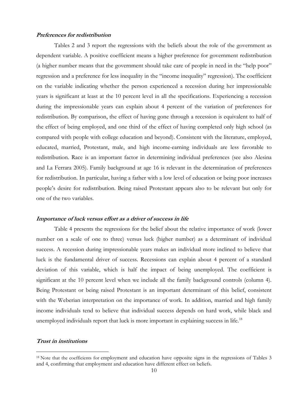#### **Preferences for redistribution**

Tables 2 and 3 report the regressions with the beliefs about the role of the government as dependent variable. A positive coefficient means a higher preference for government redistribution (a higher number means that the government should take care of people in need in the "help poor" regression and a preference for less inequality in the "income inequality" regression). The coefficient on the variable indicating whether the person experienced a recession during her impressionable years is significant at least at the 10 percent level in all the specifications. Experiencing a recession during the impressionable years can explain about 4 percent of the variation of preferences for redistribution. By comparison, the effect of having gone through a recession is equivalent to half of the effect of being employed, and one third of the effect of having completed only high school (as compared with people with college education and beyond). Consistent with the literature, employed, educated, married, Protestant, male, and high income-earning individuals are less favorable to redistribution. Race is an important factor in determining individual preferences (see also Alesina and La Ferrara 2005). Family background at age 16 is relevant in the determination of preferences for redistribution. In particular, having a father with a low level of education or being poor increases people's desire for redistribution. Being raised Protestant appears also to be relevant but only for one of the two variables.

#### **Importance of luck versus effort as a driver of success in life**

Table 4 presents the regressions for the belief about the relative importance of work (lower number on a scale of one to three) versus luck (higher number) as a determinant of individual success. A recession during impressionable years makes an individual more inclined to believe that luck is the fundamental driver of success. Recessions can explain about 4 percent of a standard deviation of this variable, which is half the impact of being unemployed. The coefficient is significant at the 10 percent level when we include all the family background controls (column 4). Being Protestant or being raised Protestant is an important determinant of this belief, consistent with the Weberian interpretation on the importance of work. In addition, married and high family income individuals tend to believe that individual success depends on hard work, while black and unemployed individuals report that luck is more important in explaining success in life.<sup>[18](#page-14-0)</sup>

#### **Trust in institutions**

<span id="page-14-0"></span><sup>&</sup>lt;sup>18</sup> Note that the coefficients for employment and education have opposite signs in the regressions of Tables 3 and 4, confirming that employment and education have different effect on beliefs.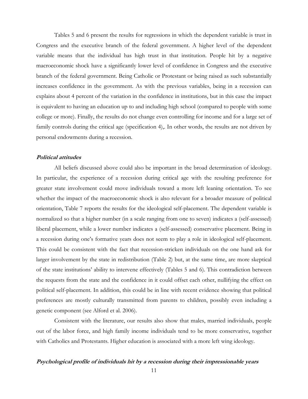Tables 5 and 6 present the results for regressions in which the dependent variable is trust in Congress and the executive branch of the federal government. A higher level of the dependent variable means that the individual has high trust in that institution. People hit by a negative macroeconomic shock have a significantly lower level of confidence in Congress and the executive branch of the federal government. Being Catholic or Protestant or being raised as such substantially increases confidence in the government. As with the previous variables, being in a recession can explains about 4 percent of the variation in the confidence in institutions, but in this case the impact is equivalent to having an education up to and including high school (compared to people with some college or more). Finally, the results do not change even controlling for income and for a large set of family controls during the critical age (specification 4),. In other words, the results are not driven by personal endowments during a recession.

#### **Political attitudes**

All beliefs discussed above could also be important in the broad determination of ideology. In particular, the experience of a recession during critical age with the resulting preference for greater state involvement could move individuals toward a more left leaning orientation. To see whether the impact of the macroeconomic shock is also relevant for a broader measure of political orientation, Table 7 reports the results for the ideological self-placement. The dependent variable is normalized so that a higher number (in a scale ranging from one to seven) indicates a (self-assessed) liberal placement, while a lower number indicates a (self-assessed) conservative placement. Being in a recession during one's formative years does not seem to play a role in ideological self-placement. This could be consistent with the fact that recession-stricken individuals on the one hand ask for larger involvement by the state in redistribution (Table 2) but, at the same time, are more skeptical of the state institutions' ability to intervene effectively (Tables 5 and 6). This contradiction between the requests from the state and the confidence in it could offset each other, nullifying the effect on political self-placement. In addition, this could be in line with recent evidence showing that political preferences are mostly culturally transmitted from parents to children, possibly even including a genetic component (see Alford et al. 2006).

Consistent with the literature, our results also show that males, married individuals, people out of the labor force, and high family income individuals tend to be more conservative, together with Catholics and Protestants. Higher education is associated with a more left wing ideology.

#### **Psychological profile of individuals hit by a recession during their impressionable years**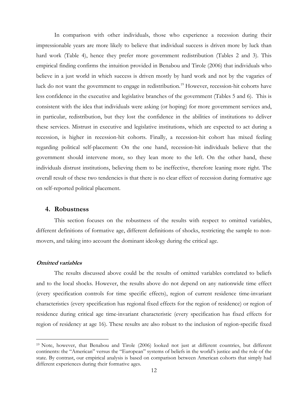In comparison with other individuals, those who experience a recession during their impressionable years are more likely to believe that individual success is driven more by luck than hard work (Table 4), hence they prefer more government redistribution (Tables 2 and 3). This empirical finding confirms the intuition provided in Benabou and Tirole (2006) that individuals who believe in a just world in which success is driven mostly by hard work and not by the vagaries of luck do not want the government to engage in redistribution.<sup>19</sup> However, recession-hit cohorts have less confidence in the executive and legislative branches of the government (Tables 5 and 6). This is consistent with the idea that individuals were asking (or hoping) for more government services and, in particular, redistribution, but they lost the confidence in the abilities of institutions to deliver these services. Mistrust in executive and legislative institutions, which are expected to act during a recession, is higher in recession-hit cohorts. Finally, a recession-hit cohort has mixed feeling regarding political self-placement: On the one hand, recession-hit individuals believe that the government should intervene more, so they lean more to the left. On the other hand, these individuals distrust institutions, believing them to be ineffective, therefore leaning more right. The overall result of these two tendencies is that there is no clear effect of recession during formative age on self-reported political placement.

#### **4. Robustness**

 This section focuses on the robustness of the results with respect to omitted variables, different definitions of formative age, different definitions of shocks, restricting the sample to nonmovers, and taking into account the dominant ideology during the critical age.

#### **Omitted variables**

 $\overline{a}$ 

The results discussed above could be the results of omitted variables correlated to beliefs and to the local shocks. However, the results above do not depend on any nationwide time effect (every specification controls for time specific effects), region of current residence time-invariant characteristics (every specification has regional fixed effects for the region of residence) or region of residence during critical age time-invariant characteristic (every specification has fixed effects for region of residency at age 16). These results are also robust to the inclusion of region-specific fixed

<span id="page-16-0"></span><sup>19</sup> Note, however, that Benabou and Tirole (2006) looked not just at different countries, but different continents: the "American" versus the "European" systems of beliefs in the world's justice and the role of the state. By contrast, our empirical analysis is based on comparison between American cohorts that simply had different experiences during their formative ages.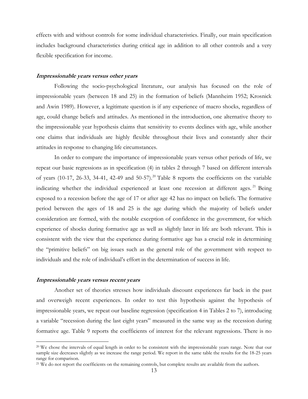effects with and without controls for some individual characteristics. Finally, our main specification includes background characteristics during critical age in addition to all other controls and a very flexible specification for income.

#### **Impressionable years versus other years**

Following the socio-psychological literature, our analysis has focused on the role of impressionable years (between 18 and 25) in the formation of beliefs (Mannheim 1952; Krosnick and Awin 1989). However, a legitimate question is if any experience of macro shocks, regardless of age, could change beliefs and attitudes. As mentioned in the introduction, one alternative theory to the impressionable year hypothesis claims that sensitivity to events declines with age, while another one claims that individuals are highly flexible throughout their lives and constantly alter their attitudes in response to changing life circumstances.

In order to compare the importance of impressionable years versus other periods of life, we repeat our basic regressions as in specification (4) in tables 2 through 7 based on different intervals of years (10-17, 26-33, 34-41, 42-49 and 50-57).<sup>20</sup> Table 8 reports the coefficients on the variable indicating whether the individual experienced at least one recession at different ages.<sup>[21](#page-17-1)</sup> Being exposed to a recession before the age of 17 or after age 42 has no impact on beliefs. The formative period between the ages of 18 and 25 is the age during which the majority of beliefs under consideration are formed, with the notable exception of confidence in the government, for which experience of shocks during formative age as well as slightly later in life are both relevant. This is consistent with the view that the experience during formative age has a crucial role in determining the "primitive beliefs" on big issues such as the general role of the government with respect to individuals and the role of individual's effort in the determination of success in life.

#### **Impressionable years versus recent years**

 $\overline{a}$ 

Another set of theories stresses how individuals discount experiences far back in the past and overweigh recent experiences. In order to test this hypothesis against the hypothesis of impressionable years, we repeat our baseline regression (specification 4 in Tables 2 to 7), introducing a variable "recession during the last eight years" measured in the same way as the recession during formative age. Table 9 reports the coefficients of interest for the relevant regressions. There is no

<span id="page-17-0"></span><sup>&</sup>lt;sup>20</sup> We chose the intervals of equal length in order to be consistent with the impressionable years range. Note that our sample size decreases slightly as we increase the range period. We report in the same table the results for the 18-25 years range for comparison.

<span id="page-17-1"></span><sup>&</sup>lt;sup>21</sup> We do not report the coefficients on the remaining controls, but complete results are available from the authors.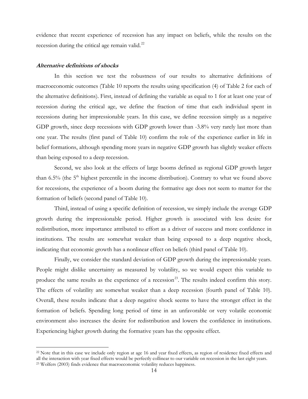evidence that recent experience of recession has any impact on beliefs, while the results on the recession during the critical age remain valid.<sup>22</sup>

#### **Alternative definitions of shocks**

 $\overline{a}$ 

In this section we test the robustness of our results to alternative definitions of macroeconomic outcomes (Table 10 reports the results using specification (4) of Table 2 for each of the alternative definitions). First, instead of defining the variable as equal to 1 for at least one year of recession during the critical age, we define the fraction of time that each individual spent in recessions during her impressionable years. In this case, we define recession simply as a negative GDP growth, since deep recessions with GDP growth lower than -3.8% very rarely last more than one year. The results (first panel of Table 10) confirm the role of the experience earlier in life in belief formations, although spending more years in negative GDP growth has slightly weaker effects than being exposed to a deep recession.

Second, we also look at the effects of large booms defined as regional GDP growth larger than 6.5% (the  $5<sup>th</sup>$  highest percentile in the income distribution). Contrary to what we found above for recessions, the experience of a boom during the formative age does not seem to matter for the formation of beliefs (second panel of Table 10).

Third, instead of using a specific definition of recession, we simply include the average GDP growth during the impressionable period. Higher growth is associated with less desire for redistribution, more importance attributed to effort as a driver of success and more confidence in institutions. The results are somewhat weaker than being exposed to a deep negative shock, indicating that economic growth has a nonlinear effect on beliefs (third panel of Table 10).

Finally, we consider the standard deviation of GDP growth during the impressionable years. People might dislike uncertainty as measured by volatility, so we would expect this variable to produce the same results as the experience of a recession<sup>23</sup>. The results indeed confirm this story. The effects of volatility are somewhat weaker than a deep recession (fourth panel of Table 10). Overall, these results indicate that a deep negative shock seems to have the stronger effect in the formation of beliefs. Spending long period of time in an unfavorable or very volatile economic environment also increases the desire for redistribution and lowers the confidence in institutions. Experiencing higher growth during the formative years has the opposite effect.

<span id="page-18-1"></span><span id="page-18-0"></span><sup>&</sup>lt;sup>22</sup> Note that in this case we include only region at age 16 and year fixed effects, as region of residence fixed effects and all the interaction with year fixed effects would be perfectly collinear to our variable on recession in the last eight years.<br><sup>23</sup> Wolfers (2003) finds evidence that macroeconomic volatility reduces happiness.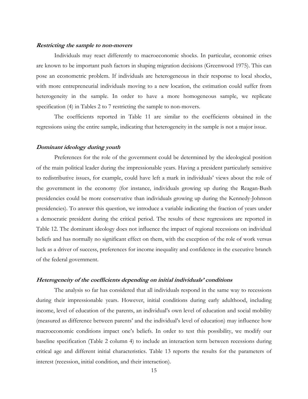#### **Restricting the sample to non-movers**

Individuals may react differently to macroeconomic shocks. In particular, economic crises are known to be important push factors in shaping migration decisions (Greenwood 1975). This can pose an econometric problem. If individuals are heterogeneous in their response to local shocks, with more entrepreneurial individuals moving to a new location, the estimation could suffer from heterogeneity in the sample. In order to have a more homogeneous sample, we replicate specification (4) in Tables 2 to 7 restricting the sample to non-movers.

The coefficients reported in Table 11 are similar to the coefficients obtained in the regressions using the entire sample, indicating that heterogeneity in the sample is not a major issue.

#### **Dominant ideology during youth**

Preferences for the role of the government could be determined by the ideological position of the main political leader during the impressionable years. Having a president particularly sensitive to redistributive issues, for example, could have left a mark in individuals' views about the role of the government in the economy (for instance, individuals growing up during the Reagan-Bush presidencies could be more conservative than individuals growing up during the Kennedy-Johnson presidencies). To answer this question, we introduce a variable indicating the fraction of years under a democratic president during the critical period. The results of these regressions are reported in Table 12. The dominant ideology does not influence the impact of regional recessions on individual beliefs and has normally no significant effect on them, with the exception of the role of work versus luck as a driver of success, preferences for income inequality and confidence in the executive branch of the federal government.

#### **Heterogeneity of the coefficients depending on initial individuals' conditions**

The analysis so far has considered that all individuals respond in the same way to recessions during their impressionable years. However, initial conditions during early adulthood, including income, level of education of the parents, an individual's own level of education and social mobility (measured as difference between parents' and the individual's level of education) may influence how macroeconomic conditions impact one's beliefs. In order to test this possibility, we modify our baseline specification (Table 2 column 4) to include an interaction term between recessions during critical age and different initial characteristics. Table 13 reports the results for the parameters of interest (recession, initial condition, and their interaction).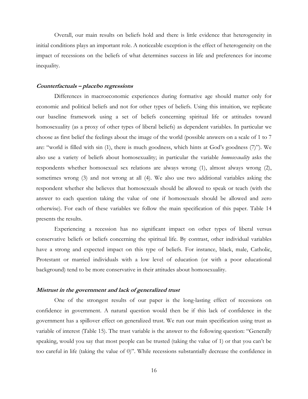Overall, our main results on beliefs hold and there is little evidence that heterogeneity in initial conditions plays an important role. A noticeable exception is the effect of heterogeneity on the impact of recessions on the beliefs of what determines success in life and preferences for income inequality.

#### **Counterfactuals – placebo regressions**

Differences in macroeconomic experiences during formative age should matter only for economic and political beliefs and not for other types of beliefs. Using this intuition, we replicate our baseline framework using a set of beliefs concerning spiritual life or attitudes toward homosexuality (as a proxy of other types of liberal beliefs) as dependent variables. In particular we choose as first belief the feelings about the image of the world (possible answers on a scale of 1 to 7 are: "world is filled with sin (1), there is much goodness, which hints at God's goodness (7)"). We also use a variety of beliefs about homosexuality; in particular the variable *homosexuality* asks the respondents whether homosexual sex relations are always wrong (1), almost always wrong (2), sometimes wrong (3) and not wrong at all (4). We also use two additional variables asking the respondent whether she believes that homosexuals should be allowed to speak or teach (with the answer to each question taking the value of one if homosexuals should be allowed and zero otherwise). For each of these variables we follow the main specification of this paper. Table 14 presents the results.

 Experiencing a recession has no significant impact on other types of liberal versus conservative beliefs or beliefs concerning the spiritual life. By contrast, other individual variables have a strong and expected impact on this type of beliefs. For instance, black, male, Catholic, Protestant or married individuals with a low level of education (or with a poor educational background) tend to be more conservative in their attitudes about homosexuality.

#### **Mistrust in the government and lack of generalized trust**

One of the strongest results of our paper is the long-lasting effect of recessions on confidence in government. A natural question would then be if this lack of confidence in the government has a spillover effect on generalized trust. We run our main specification using trust as variable of interest (Table 15). The trust variable is the answer to the following question: "Generally speaking, would you say that most people can be trusted (taking the value of 1) or that you can't be too careful in life (taking the value of 0)". While recessions substantially decrease the confidence in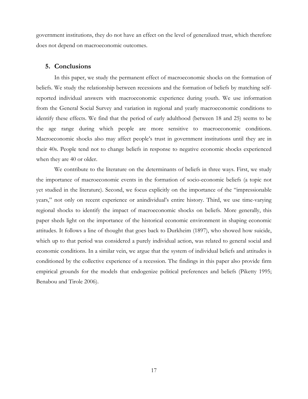government institutions, they do not have an effect on the level of generalized trust, which therefore does not depend on macroeconomic outcomes.

#### **5. Conclusions**

In this paper, we study the permanent effect of macroeconomic shocks on the formation of beliefs. We study the relationship between recessions and the formation of beliefs by matching selfreported individual answers with macroeconomic experience during youth. We use information from the General Social Survey and variation in regional and yearly macroeconomic conditions to identify these effects. We find that the period of early adulthood (between 18 and 25) seems to be the age range during which people are more sensitive to macroeconomic conditions. Macroeconomic shocks also may affect people's trust in government institutions until they are in their 40s. People tend not to change beliefs in response to negative economic shocks experienced when they are 40 or older.

We contribute to the literature on the determinants of beliefs in three ways. First, we study the importance of macroeconomic events in the formation of socio-economic beliefs (a topic not yet studied in the literature). Second, we focus explicitly on the importance of the "impressionable years," not only on recent experience or anindividual's entire history. Third, we use time-varying regional shocks to identify the impact of macroeconomic shocks on beliefs. More generally, this paper sheds light on the importance of the historical economic environment in shaping economic attitudes. It follows a line of thought that goes back to Durkheim (1897), who showed how suicide, which up to that period was considered a purely individual action, was related to general social and economic conditions. In a similar vein, we argue that the system of individual beliefs and attitudes is conditioned by the collective experience of a recession. The findings in this paper also provide firm empirical grounds for the models that endogenize political preferences and beliefs (Piketty 1995; Benabou and Tirole 2006).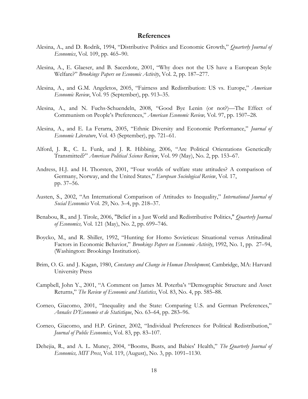#### **References**

- Alesina, A., and D. Rodrik, 1994, "Distributive Politics and Economic Growth," *Quarterly Journal of Economics*, Vol. 109, pp. 465–90.
- Alesina, A., E. Glaeser, and B. Sacerdote, 2001, "Why does not the US have a European Style Welfare?" *Brookings Papers on Economic Activity*, Vol. 2, pp. 187–277.
- Alesina, A., and G.M. Angeletos, 2005, "Fairness and Redistribution: US vs. Europe," *American Economic Review*, Vol. 95 (September), pp. 913–35.
- Alesina, A., and N. Fuchs-Schuendeln, 2008, "Good Bye Lenin (or not?)—The Effect of Communism on People's Preferences," *American Economic Review,* Vol. 97, pp. 1507–28.
- Alesina, A., and E. La Ferarra, 2005, "Ethnic Diversity and Economic Performance," *Journal of Economic Literature*, Vol. 43 (September), pp. 721–61.
- Alford, J. R., C. L. Funk, and J. R. Hibbing, 2006, "Are Political Orientations Genetically Transmitted?" *American Political Science Review*, Vol. 99 (May), No. 2, pp. 153–67.
- Andress, H.J. and H. Thorsten, 2001, "Four worlds of welfare state attitudes? A comparison of Germany, Norway, and the United States," *European Sociological Review*, Vol. 17, pp. 37–56.
- Austen, S., 2002, "An International Comparison of Attitudes to Inequality," *International Journal of Social Economics* Vol. 29, No. 3–4, pp. 218–37.
- Benabou, R., and J. Tirole, 2006, "Belief in a Just World and Redistributive Politics," *Quarterly Journal of Economics,* Vol. 121 (May), No. 2, pp. 699–746.
- Boycko, M., and R. Shiller, 1992, "Hunting for Homo Sovieticus: Situational versus Attitudinal Factors in Economic Behavior," *Brookings Papers on Economic Activity*, 1992, No. 1, pp. 27–94, (Washington: Brookings Institution).
- Brim, O. G. and J. Kagan, 1980, *Constancy and Change in Human Development,* Cambridge, MA: Harvard University Press
- Campbell, John Y., 2001, "A Comment on James M. Poterba's "Demographic Structure and Asset Returns," *The Review of Economic and Statistics*, Vol. 83, No. 4, pp. 585–88.
- Corneo, Giacomo, 2001, "Inequality and the State: Comparing U.S. and German Preferences," *Annales D'Economie et de Statistique*, No. 63–64, pp. 283–96.
- Corneo, Giacomo, and H.P. Grüner, 2002, "Individual Preferences for Political Redistribution," *Journal of Public Economics*, Vol. 83, pp. 83–107.
- Dehejia, R., and A. L. Muney, 2004, "Booms, Busts, and Babies' Health," *The Quarterly Journal of Economics, MIT Press*, Vol. 119, (August), No. 3, pp. 1091–1130.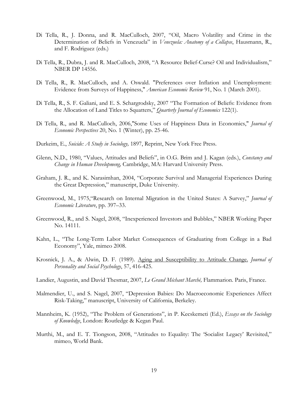- Di Tella, R., J. Donna, and R. MacCulloch, 2007, "Oil, Macro Volatility and Crime in the Determination of Beliefs in Venezuela" in *Venezuela: Anatomy of a Collapse*, Hausmann, R., and F. Rodriguez (eds.)
- Di Tella, R., Dubra, J. and R. MacCulloch, 2008, "A Resource Belief-Curse? Oil and Individualism," NBER DP 14556.
- Di Tella, R., R. MacCulloch, and A. Oswald. "Preferences over Inflation and Unemployment: Evidence from Surveys of Happiness," *American Economic Review* 91, No. 1 (March 2001).
- Di Tella, R., S. F. Galiani, and E. S. Schargrodsky, 2007 "The Formation of Beliefs: Evidence from the Allocation of Land Titles to Squatters," *Quarterly Journal of Economics* 122(1).
- Di Tella, R., and R. MacCulloch, 2006,"Some Uses of Happiness Data in Economics," *Journal of Economic Perspectives* 20, No. 1 (Winter), pp. 25-46.
- Durkeim, E., *Suicide: A Study in Sociology,* 1897, Reprint, New York Free Press.
- Glenn, N.D., 1980, "Values, Attitudes and Beliefs", in O.G. Brim and J. Kagan (eds.), *Constancy and Change in Human Developmeng,* Cambridge, MA: Harvard University Press.
- Graham, J. R., and K. Narasimhan, 2004, "Corporate Survival and Managerial Experiences During the Great Depression," manuscript, Duke University.
- Greenwood, M., 1975,"Research on Internal Migration in the United States: A Survey," *Journal of Economic Literature*, pp. 397–33.
- Greenwood, R., and S. Nagel, 2008, "Inexperienced Investors and Bubbles," NBER Working Paper No. 14111.
- Kahn, L., "The Long-Term Labor Market Consequences of Graduating from College in a Bad Economy", Yale, mimeo 2008.
- Krosnick, J. A., & Alwin, D. F. (1989). [Aging and Susceptibility to Attitude Change.](http://communication.stanford.edu/faculty/Krosnick/docs/Aging and Att Change  Krosnick and Alwin.pdf) *Journal of Personality and Social Psychology*, 57, 416-425.
- Landier, Augustin, and David Thesmar, 2007, *Le Grand Méchant Marché,* Flammarion. Paris, France.
- Malmendier, U., and S. Nagel, 2007, "Depression Babies: Do Macroeconomic Experiences Affect Risk-Taking," manuscript, University of California, Berkeley.
- Mannheim, K. (1952), "The Problem of Generations", in P. Kecskemeti (Ed.), *Essays on the Sociology of Knowledge*, London: Routledge & Kegan Paul.
- Murthi, M., and E. T. Tiongson, 2008, "Attitudes to Equality: The 'Socialist Legacy' Revisited," mimeo, World Bank.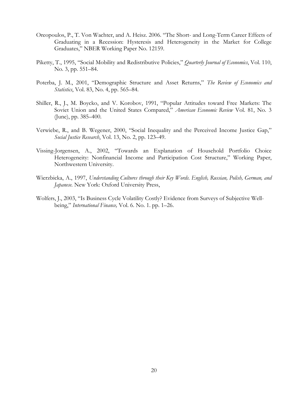- Oreopoulos, P., T. Von Wachter, and A. Heisz. 2006. "The Short- and Long-Term Career Effects of Graduating in a Recession: Hysteresis and Heterogeneity in the Market for College Graduates," NBER Working Paper No. 12159.
- Piketty, T., 1995, "Social Mobility and Redistributive Policies," *Quarterly Journal of Economics*, Vol. 110, No. 3, pp. 551–84.
- Poterba, J. M., 2001, "Demographic Structure and Asset Returns," *The Review of Economics and Statistics*, Vol. 83, No. 4, pp. 565–84.
- Shiller, R., J., M. Boycko, and V. Korobov, 1991, "Popular Attitudes toward Free Markets: The Soviet Union and the United States Compared," *American Economic Review* Vol. 81, No. 3 (June), pp. 385–400.
- Verwiebe, R., and B. Wegener, 2000, "Social Inequality and the Perceived Income Justice Gap," *Social Justice Research*, Vol. 13, No. 2, pp. 123–49.
- Vissing-Jorgensen, A., 2002, "Towards an Explanation of Household Portfolio Choice Heterogeneity: Nonfinancial Income and Participation Cost Structure," Working Paper, Northwestern University.
- Wierzbicka, A., 1997, *Understanding Cultures through their Key Words. English, Russian, Polish, German, and Japanese.* New York: Oxford University Press,
- Wolfers, J., 2003, "Is Business Cycle Volatility Costly? Evidence from Surveys of Subjective Wellbeing," *International Finance,* Vol. 6. No. 1. pp. 1–26.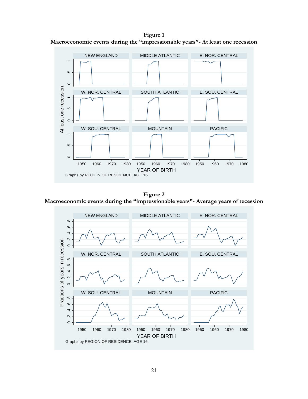**Figure 1 Macroeconomic events during the "impressionable years"- At least one recession** 



**Figure 2 Macroeconomic events during the "impressionable years"- Average years of recession** 

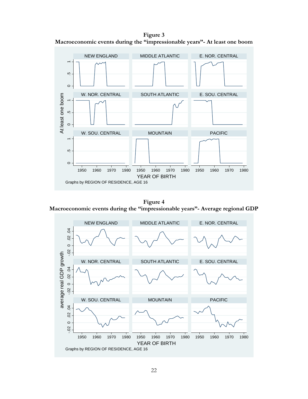**Figure 3 Macroeconomic events during the "impressionable years"- At least one boom** 



**Figure 4 Macroeconomic events during the "impressionable years"- Average regional GDP** 

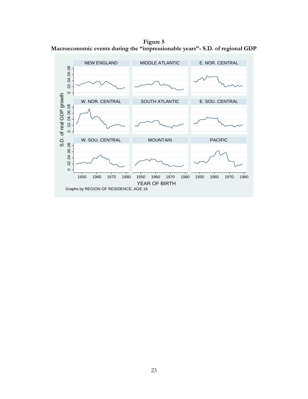**Figure 5 Macroeconomic events during the "impressionable years"- S.D. of regional GDP** 

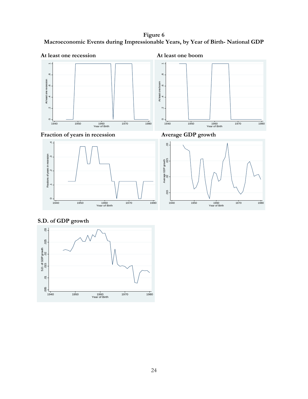**Figure 6 Macroeconomic Events during Impressionable Years, by Year of Birth- National GDP** 







 **S.D. of GDP growth** 

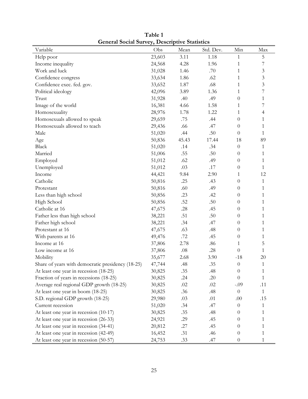| Variable                                          | Obs    | Mean    | Std. Dev. | Min              | Max            |
|---------------------------------------------------|--------|---------|-----------|------------------|----------------|
| Help poor                                         | 23,603 | 3.11    | 1.18      | 1                | 5              |
| Income inequality                                 | 24,568 | 4.28    | 1.96      | 1                | 7              |
| Work and luck                                     | 31,028 | 1.46    | .70       | $\mathbf{1}$     | 3              |
| Confidence congress                               | 33,634 | 1.86    | .62       | 1                | $\mathfrak{Z}$ |
| Confidence exec. fed. gov.                        | 33,652 | 1.87    | .68       | 1                | $\overline{3}$ |
| Political ideology                                | 42,096 | 3.89    | 1.36      | 1                | 7              |
| Trust                                             | 31,928 | .40     | .49       | $\theta$         | $\mathbf{1}$   |
| Image of the world                                | 16,381 | 4.66    | 1.58      | 1                | 7              |
| Homosexuality                                     | 28,976 | 1.78    | 1.22      | 1                | 4              |
| Homosexuals allowed to speak                      | 29,659 | .75     | .44       | $\theta$         | $\mathbf{1}$   |
| Homosexuals allowed to teach                      | 29,436 | .66     | .47       | $\theta$         | $\mathbf{1}$   |
| Male                                              | 51,020 | .44     | .50       | $\theta$         | 1              |
| Age                                               | 50,836 | 45.43   | 17.44     | 18               | 89             |
| <b>Black</b>                                      | 51,020 | .14     | .34       | $\theta$         | $\mathbf{1}$   |
| Married                                           | 51,006 | .55     | .50       | $\theta$         | $\mathbf{1}$   |
| Employed                                          | 51,012 | .62     | .49       | $\theta$         | $\mathbf{1}$   |
| Unemployed                                        | 51,012 | .03     | $.17$     | $\theta$         | $\mathbf{1}$   |
| Income                                            | 44,421 | 9.84    | 2.90      | 1                | 12             |
| Catholic                                          | 50,816 | .25     | .43       | $\theta$         | $\mathbf{1}$   |
| Protestant                                        | 50,816 | .60     | .49       | $\theta$         | 1              |
| Less than high school                             | 50,856 | .23     | .42       | $\theta$         | $\mathbf{1}$   |
| High School                                       | 50,856 | .52     | .50       | $\theta$         | $\mathbf{1}$   |
| Catholic at 16                                    | 47,675 | .28     | .45       | $\theta$         | 1              |
| Father less than high school                      | 38,221 | .51     | .50       | $\theta$         | $\mathbf{1}$   |
| Father high school                                | 38,221 | .34     | .47       | $\theta$         | 1              |
| Protestant at 16                                  | 47,675 | .63     | .48       | $\theta$         | 1              |
| With parents at 16                                | 49,476 | .72     | .45       | $\theta$         | 1              |
| Income at 16                                      | 37,806 | 2.78    | $.86$     | 1                | 5              |
| Low income at 16                                  | 37,806 | $.08\,$ | .28       | $\theta$         | $\mathbf{1}$   |
| Mobility                                          | 35,677 | 2.68    | 3.90      | $-18$            | 20             |
| Share of years with democratic presidency (18-25) | 47,744 | .48     | .35       | $\boldsymbol{0}$ | $\mathbf{1}$   |
| At least one year in recession (18-25)            | 30,825 | .35     | .48       | $\boldsymbol{0}$ | $\mathbf{1}$   |
| Fraction of years in recessions (18-25)           | 30,825 | .24     | .20       | $\theta$         | 1              |
| Average real regional GDP growth (18-25)          | 30,825 | $.02\,$ | $.02\,$   | $-.09$           | .11            |
| At least one year in boom (18-25)                 | 30,825 | .36     | .48       | $\boldsymbol{0}$ | $\mathbf{1}$   |
| S.D. regional GDP growth (18-25)                  | 29,980 | .03     | .01       | .00              | .15            |
| Current recession                                 | 51,020 | .34     | .47       | $\theta$         | 1              |
| At least one year in recession (10-17)            | 30,825 | .35     | .48       | $\theta$         | 1              |
| At least one year in recession (26-33)            | 24,921 | .29     | .45       | $\theta$         | 1              |
| At least one year in recession (34-41)            | 20,812 | .27     | .45       | $\theta$         | 1              |
| At least one year in recession (42-49)            | 16,452 | .31     | .46       | $\theta$         | 1              |
| At least one year in recession (50-57)            | 24,753 | .33     | .47       | $\theta$         | $\mathbf{1}$   |

**Table 1 General Social Survey, Descriptive Statistics**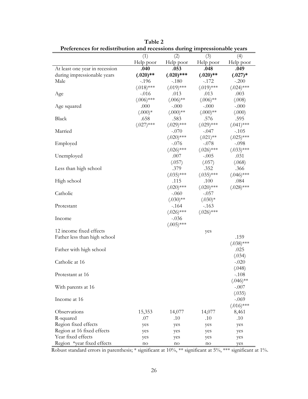| I references for redistribution and recessions during impressionable years |                  |                  |                  |                  |
|----------------------------------------------------------------------------|------------------|------------------|------------------|------------------|
|                                                                            | (1)<br>Help poor | (2)<br>Help poor | (3)<br>Help poor | (4)<br>Help poor |
| At least one year in recession                                             | .040             | .053             | .048             | .049             |
| during impressionable years                                                | $(.020)$ **      | $(.020)$ ***     | $(.020)$ **      | $(.027)*$        |
| Male                                                                       | $-196$           | $-.180$          | $-.172$          | $-.200$          |
|                                                                            | $(.018)$ ***     | $(.019)$ ***     | $(.019)$ ***     | $(.024)$ ***     |
| Age                                                                        | $-.016$          | .013             | .013             | .003             |
|                                                                            | $(.006)$ ***     | $(.006)$ **      | $(.006)$ **      | (.008)           |
| Age squared                                                                | .000             | $-.000$          | $-.000$          | $-.000$          |
|                                                                            | $(.000)*$        | $(.000)$ **      | $(.000)$ **      | (.000)           |
| Black                                                                      | .658             | .583             | .576             | .595             |
|                                                                            | $(.027)$ ***     | $(.029)$ ***     | $(.029)$ ***     | $(.041)$ ***     |
| Married                                                                    |                  | $-.070$          | $-.047$          | $-.105$          |
|                                                                            |                  | $(.020)$ ***     | $(.021)$ **      | $(.025)$ ***     |
| Employed                                                                   |                  | $-.076$          | $-.078$          | $-.098$          |
|                                                                            |                  | $(.026)$ ***     | $(.026)$ ***     | $(.033)$ ***     |
| Unemployed                                                                 |                  | .007             | $-.005$          | .031             |
|                                                                            |                  | (.057)           | (.057)           | (.068)           |
| Less than high school                                                      |                  | .379             | .352             | .366             |
|                                                                            |                  | $(.035)$ ***     | $(.035)$ ***     | $(.046)$ ***     |
| High school                                                                |                  | .115             | .100             | .084             |
|                                                                            |                  | $(.020)$ ***     | $(.020)$ ***     | $(.028)$ ***     |
| Catholic                                                                   |                  | $-.060$          | $-.057$          |                  |
|                                                                            |                  | $(.030)$ **      | $(.030)*$        |                  |
| Protestant                                                                 |                  | $-164$           | $-163$           |                  |
|                                                                            |                  | $(.026)$ ***     | $(.026)$ ***     |                  |
| Income                                                                     |                  | $-.036$          |                  |                  |
| 12 income fixed effects                                                    |                  | $(.005)$ ***     |                  |                  |
| Father less than high school                                               |                  |                  | yes              | .159             |
|                                                                            |                  |                  |                  | $(.038)$ ***     |
| Father with high school                                                    |                  |                  |                  | .025             |
|                                                                            |                  |                  |                  | (.034)           |
| Catholic at 16                                                             |                  |                  |                  | $-.020$          |
|                                                                            |                  |                  |                  | (.048)           |
| Protestant at 16                                                           |                  |                  |                  | $-.108$          |
|                                                                            |                  |                  |                  | $(.046)$ **      |
| With parents at 16                                                         |                  |                  |                  | $-.007$          |
|                                                                            |                  |                  |                  | (.035)           |
| Income at 16                                                               |                  |                  |                  | $-.069$          |
|                                                                            |                  |                  |                  | $(.016)$ ***     |
| Observations                                                               | 15,353           | 14,077           | 14,077           | 8,461            |
| R-squared                                                                  | .07              | .10              | .10              | .10              |
| Region fixed effects                                                       | yes              | yes              | yes              | yes              |
| Region at 16 fixed effects                                                 | yes              | yes              | yes              | yes              |
| Year fixed effects                                                         | yes              | yes              | yes              | yes              |
| Region *year fixed effects                                                 | no               | no               | no               | yes              |

**Table 2 Preferences for redistribution and recessions during impressionable years**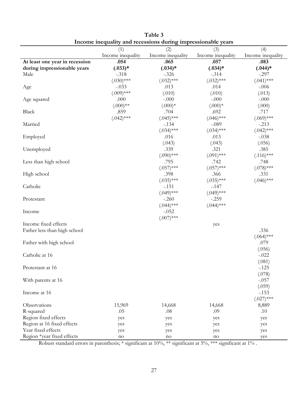|                                | meonie mequanty and recessions during impressionable years<br>(1) | (2)               | (3)               | (4)               |
|--------------------------------|-------------------------------------------------------------------|-------------------|-------------------|-------------------|
|                                | Income inequality                                                 | Income inequality | Income inequality | Income inequality |
| At least one year in recession | .054                                                              | .065              | .057              | .083              |
| during impressionable years    | $(.033)*$                                                         | $(.034)*$         | $(.034)*$         | $(.044)*$         |
| Male                           | $-.318$                                                           | $-.326$           | $-.314$           | $-.297$           |
|                                | $(.030)$ ***                                                      | $(.032)$ ***      | $(.032)$ ***      | $(.041)$ ***      |
| Age                            | $-.033$                                                           | .013              | .014              | $-.006$           |
|                                | $(.009)$ ***                                                      | (.010)            | (.010)            | (.013)            |
| Age squared                    | .000                                                              | $-.000$           | $-.000$           | $-.000$           |
|                                | $(.000)$ **                                                       | $(.000)*$         | $(.000)*$         | (.000)            |
| Black                          | .859                                                              | .704              | .692              | .717              |
|                                | $(.042)$ ***                                                      | $(.045)$ ***      | $(.046)$ ***      | $(.069)$ ***      |
| Married                        |                                                                   | $-.134$           | $-.089$           | $-.213$           |
|                                |                                                                   | $(.034)$ ***      | $(.034)$ ***      | $(.042)$ ***      |
| Employed                       |                                                                   | .016              | .013              | $-.038$           |
|                                |                                                                   | (.043)            | (.043)            | (.056)            |
| Unemployed                     |                                                                   | .339              | .321              | .385              |
|                                |                                                                   | $(.090)$ ***      | $(.091)$ ***      | $(.116)$ ***      |
| Less than high school          |                                                                   | .795              | .742              | .748              |
|                                |                                                                   | $(.057)$ ***      | $(.057)$ ***      | $(.078)$ ***      |
| High school                    |                                                                   | .398              | .366              | .331              |
|                                |                                                                   | $(.035)$ ***      | $(.035)$ ***      | $(.046)$ ***      |
| Catholic                       |                                                                   | $-.151$           | $-.147$           |                   |
|                                |                                                                   | $(.049)$ ***      | $(.049)$ ***      |                   |
| Protestant                     |                                                                   | $-.260$           | $-.259$           |                   |
|                                |                                                                   | $(.044)$ ***      | $(.044)$ ***      |                   |
| Income                         |                                                                   | $-.052$           |                   |                   |
|                                |                                                                   | $(.007)$ ***      |                   |                   |
| Income fixed effects           |                                                                   |                   | yes               |                   |
| Father less than high school   |                                                                   |                   |                   | .336              |
|                                |                                                                   |                   |                   | $(.064)$ ***      |
| Father with high school        |                                                                   |                   |                   | .079              |
|                                |                                                                   |                   |                   | (.056)            |
| Catholic at 16                 |                                                                   |                   |                   | $-.022$           |
|                                |                                                                   |                   |                   | (.081)            |
| Protestant at 16               |                                                                   |                   |                   | $-125$            |
|                                |                                                                   |                   |                   | (.078)            |
| With parents at 16             |                                                                   |                   |                   | $-.057$           |
|                                |                                                                   |                   |                   | (.059)            |
| Income at 16                   |                                                                   |                   |                   | $-153$            |
|                                |                                                                   |                   |                   | $(.027)$ ***      |
| Observations                   | 15,969                                                            | 14,668            | 14,668            | 8,889             |
| R-squared                      | .05                                                               | .08               | .09               | .10               |
| Region fixed effects           | yes                                                               | yes               | yes               | yes               |
| Region at 16 fixed effects     | yes                                                               | yes               | yes               | yes               |
| Year fixed effects             | yes                                                               | yes               | yes               | yes               |
| Region *year fixed effects     | no                                                                | no                | no                | yes               |

| Table 3                                                      |
|--------------------------------------------------------------|
| Income inequality and recessions during impressionable years |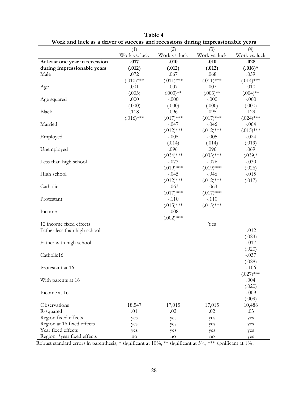|                                |               |               |               | ∼∼            |
|--------------------------------|---------------|---------------|---------------|---------------|
|                                | (1)           | (2)           | (3)           | (4)           |
|                                | Work vs. luck | Work vs. luck | Work vs. luck | Work vs. luck |
| At least one year in recession | .017          | .010          | .010          | .028          |
| during impressionable years    | (.012)        | (.012)        | (.012)        | $(.016)*$     |
| Male                           | .072          | .067          | .068          | .059          |
|                                | $(.010)$ ***  | $(.011)$ ***  | $(.011)$ ***  | $(.014)$ ***  |
| Age                            | .001          | .007          | .007          | .010          |
|                                | (.003)        | $(.003)$ **   | $(.003)$ **   | $(.004)$ **   |
| Age squared                    | .000          | $-.000$       | $-.000$       | $-.000$       |
|                                | (.000)        | (.000)        | (.000)        | (.000)        |
| Black                          | .118          | .096          | .095          | .129          |
|                                | $(.016)$ ***  | $(.017)$ ***  | $(.017)$ ***  | $(.024)$ ***  |
| Married                        |               | $-.047$       | $-.046$       | $-.064$       |
|                                |               | $(.012)$ ***  | $(.012)$ ***  | $(.015)$ ***  |
| Employed                       |               | $-.005$       | $-.005$       | $-.024$       |
|                                |               | (.014)        | (.014)        | (.019)        |
| Unemployed                     |               | .096          | .096          | .069          |
|                                |               | $(.034)$ ***  | $(.033)$ ***  | $(.039)*$     |
| Less than high school          |               | $-.073$       | $-.076$       | $-.030$       |
|                                |               | $(.019)$ ***  | $(.019)$ ***  | (.026)        |
| High school                    |               | $-.045$       | $-.046$       | $-.015$       |
|                                |               | $(.012)$ ***  | $(.012)$ ***  | (.017)        |
| Catholic                       |               | $-.063$       |               |               |
|                                |               |               | $-.063$       |               |
|                                |               | $(.017)$ ***  | $(.017)$ ***  |               |
| Protestant                     |               | $-.110$       | $-.110$       |               |
|                                |               | $(.015)$ ***  | $(.015)$ ***  |               |
| Income                         |               | $-.008$       |               |               |
|                                |               | $(.002)$ ***  |               |               |
| 12 income fixed effects        |               |               | Yes           |               |
| Father less than high school   |               |               |               | $-.012$       |
|                                |               |               |               | (.023)        |
| Father with high school        |               |               |               | $-.017$       |
|                                |               |               |               | (.020)        |
| Catholic16                     |               |               |               | $-.037$       |
|                                |               |               |               | (.028)        |
| Protestant at 16               |               |               |               | $-.106$       |
|                                |               |               |               | $(.027)$ ***  |
| With parents at 16             |               |               |               | .004          |
|                                |               |               |               | (.020)        |
| Income at 16                   |               |               |               | $-.009$       |
|                                |               |               |               | (.009)        |
| Observations                   | 18,547        | 17,015        | 17,015        | 10,488        |
| R-squared                      | .01           | .02           | .02           | .03           |
| Region fixed effects           | yes           | yes           | yes           | yes           |
| Region at 16 fixed effects     |               |               |               |               |
| Year fixed effects             | yes           | yes           | yes           | yes           |
| Region *year fixed effects     | yes           | yes           | yes           | yes           |
|                                | no            | no            | no            | yes           |

**Table 4 Work and luck as a driver of success and recessions during impressionable years**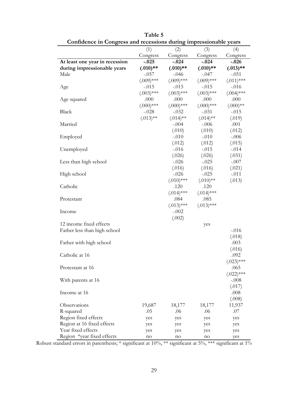| Connuence in Congress and recessions during impressionable years |              |              |              |              |
|------------------------------------------------------------------|--------------|--------------|--------------|--------------|
|                                                                  | (1)          | (2)          | (3)          | (4)          |
|                                                                  | Congress     | Congress     | Congress     | Congress     |
| At least one year in recession                                   | $-.025$      | $-.024$      | $-.024$      | $-.026$      |
| during impressionable years                                      | $(.010)**$   | $(.010)**$   | $(.010)**$   | $(.013)$ **  |
| Male                                                             | $-.057$      | $-.046$      | $-.047$      | $-.051$      |
|                                                                  | $(.009)$ *** | $(.009)$ *** | $(.009)$ *** | $(.011)$ *** |
| Age                                                              | $-.015$      | $-.015$      | $-.015$      | $-.016$      |
|                                                                  | $(.003)$ *** | $(.003)$ *** | $(.003)$ *** | $(.004)$ *** |
| Age squared                                                      | .000         | .000         | .000         | .000         |
|                                                                  | $(.000)$ *** | $(.000)$ *** | $(.000)$ *** | $(.000)$ **  |
| Black                                                            | $-.028$      | $-.032$      | $-.031$      | $-.015$      |
|                                                                  | $(.013)$ **  | $(.014)$ **  | $(.014)$ **  | (.019)       |
| Married                                                          |              | $-.004$      | $-.006$      | .001         |
|                                                                  |              | (.010)       | (.010)       | (.012)       |
| Employed                                                         |              | $-.010$      | $-.010$      | $-.006$      |
|                                                                  |              | (.012)       | (.012)       | (.015)       |
| Unemployed                                                       |              | $-.016$      | $-.015$      | $-.014$      |
|                                                                  |              | (.026)       | (.026)       | (.031)       |
| Less than high school                                            |              | $-.026$      | $-.025$      | $-.007$      |
|                                                                  |              | (.016)       | (.016)       | (.021)       |
| High school                                                      |              | $-.026$      | $-.025$      | $-.011$      |
|                                                                  |              | $(.010)$ *** | $(.010)**$   | (.013)       |
| Catholic                                                         |              | .120         | .120         |              |
|                                                                  |              | $(.014)$ *** | $(.014)$ *** |              |
|                                                                  |              |              | .085         |              |
| Protestant                                                       |              | .084         |              |              |
|                                                                  |              | $(.013)$ *** | $(.013)$ *** |              |
| Income                                                           |              | $-.002$      |              |              |
|                                                                  |              | (.002)       |              |              |
| 12 income fixed effects                                          |              |              | yes          |              |
| Father less than high school                                     |              |              |              | $-.016$      |
|                                                                  |              |              |              | (.018)       |
| Father with high school                                          |              |              |              | .003         |
|                                                                  |              |              |              | (.016)       |
| Catholic at 16                                                   |              |              |              | .092         |
|                                                                  |              |              |              | $(.023)$ *** |
| Protestant at 16                                                 |              |              |              | .065         |
|                                                                  |              |              |              | $(.022)$ *** |
| With parents at 16                                               |              |              |              | $-.008$      |
|                                                                  |              |              |              | (.017)       |
| Income at 16                                                     |              |              |              | .008         |
|                                                                  |              |              |              | (.008)       |
| Observations                                                     | 19,687       | 18,177       | 18,177       | 11,937       |
| R-squared                                                        | .05          | .06          | .06          | .07          |
| Region fixed effects                                             | yes          | yes          | yes          | yes          |
| Region at 16 fixed effects                                       | yes          | yes          | yes          | yes          |
| Year fixed effects                                               | yes          | yes          | yes          | yes          |
| Region *year fixed effects                                       | no           | no           | no           | yes          |

**Table 5 Confidence in Congress and recessions during impressionable years**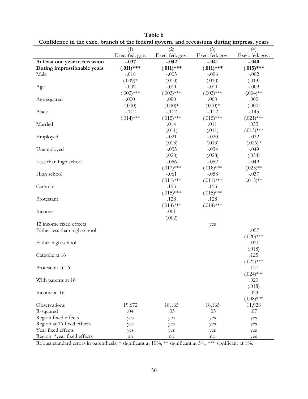| (1)<br>(2)<br>(3)<br>(4)<br>Exec. fed. gov.<br>Exec. fed. gov.<br>Exec. fed. gov.<br>Exec. fed. gov.<br>At least one year in recession<br>$-.037$<br>$-.042$<br>$-.041$<br>$-.040$<br>$(.011)$ ***<br>$(.011)$ ***<br>$(.011)$ ***<br>$(.015)$ ***<br>During impressionable years<br>Male<br>$-.018$<br>$-.005$<br>$-.006$<br>$-.002$<br>$(.009)*$<br>(.010)<br>(.010)<br>(.013)<br>$-.011$<br>$-.011$<br>$-.009$<br>$-.009$<br>Age<br>$(.003)$ ***<br>$(.003)$ ***<br>$(.003)$ ***<br>$(.004)$ **<br>Age squared<br>.000<br>.000<br>.000<br>.000<br>(.000)<br>$(.000)*$<br>$(.000)*$<br>(.000)<br>Black<br>$-.112$<br>$-.112$<br>$-.112$<br>$-.145$<br>$(.014)$ ***<br>$(.015)$ ***<br>$(.015)$ ***<br>$(.021)$ ***<br>.014<br>.011<br>Married<br>.053<br>(.011)<br>$(.013)$ ***<br>(.011)<br>$-.021$<br>$-.020$<br>$-.032$<br>Employed<br>(.013)<br>(.013)<br>$(.016)*$<br>$-.035$<br>Unemployed<br>$-.034$<br>$-.049$<br>(.028)<br>(.028)<br>(.034)<br>Less than high school<br>$-.056$<br>$-.052$<br>$-.049$<br>$(.017)$ ***<br>$(.018)$ ***<br>$(.023)$ **<br>High school<br>$-.061$<br>$-.058$<br>$-.037$<br>$(.011)$ ***<br>$(.011)$ ***<br>$(.015)$ **<br>Catholic<br>.155<br>.155<br>$(.015)$ ***<br>$(.015)$ ***<br>.128<br>.128<br>Protestant<br>$(.014)$ ***<br>$(.014)$ ***<br>Income<br>.001<br>(.002)<br>12 income fixed effects<br>yes<br>Father less than high school<br>$-.057$<br>$(.020)$ ***<br>Father high school<br>$-.011$<br>(.018)<br>Catholic at 16<br>.125 |
|----------------------------------------------------------------------------------------------------------------------------------------------------------------------------------------------------------------------------------------------------------------------------------------------------------------------------------------------------------------------------------------------------------------------------------------------------------------------------------------------------------------------------------------------------------------------------------------------------------------------------------------------------------------------------------------------------------------------------------------------------------------------------------------------------------------------------------------------------------------------------------------------------------------------------------------------------------------------------------------------------------------------------------------------------------------------------------------------------------------------------------------------------------------------------------------------------------------------------------------------------------------------------------------------------------------------------------------------------------------------------------------------------------------------------------------------------------------------------------------|
|                                                                                                                                                                                                                                                                                                                                                                                                                                                                                                                                                                                                                                                                                                                                                                                                                                                                                                                                                                                                                                                                                                                                                                                                                                                                                                                                                                                                                                                                                        |
|                                                                                                                                                                                                                                                                                                                                                                                                                                                                                                                                                                                                                                                                                                                                                                                                                                                                                                                                                                                                                                                                                                                                                                                                                                                                                                                                                                                                                                                                                        |
|                                                                                                                                                                                                                                                                                                                                                                                                                                                                                                                                                                                                                                                                                                                                                                                                                                                                                                                                                                                                                                                                                                                                                                                                                                                                                                                                                                                                                                                                                        |
|                                                                                                                                                                                                                                                                                                                                                                                                                                                                                                                                                                                                                                                                                                                                                                                                                                                                                                                                                                                                                                                                                                                                                                                                                                                                                                                                                                                                                                                                                        |
|                                                                                                                                                                                                                                                                                                                                                                                                                                                                                                                                                                                                                                                                                                                                                                                                                                                                                                                                                                                                                                                                                                                                                                                                                                                                                                                                                                                                                                                                                        |
|                                                                                                                                                                                                                                                                                                                                                                                                                                                                                                                                                                                                                                                                                                                                                                                                                                                                                                                                                                                                                                                                                                                                                                                                                                                                                                                                                                                                                                                                                        |
|                                                                                                                                                                                                                                                                                                                                                                                                                                                                                                                                                                                                                                                                                                                                                                                                                                                                                                                                                                                                                                                                                                                                                                                                                                                                                                                                                                                                                                                                                        |
|                                                                                                                                                                                                                                                                                                                                                                                                                                                                                                                                                                                                                                                                                                                                                                                                                                                                                                                                                                                                                                                                                                                                                                                                                                                                                                                                                                                                                                                                                        |
|                                                                                                                                                                                                                                                                                                                                                                                                                                                                                                                                                                                                                                                                                                                                                                                                                                                                                                                                                                                                                                                                                                                                                                                                                                                                                                                                                                                                                                                                                        |
|                                                                                                                                                                                                                                                                                                                                                                                                                                                                                                                                                                                                                                                                                                                                                                                                                                                                                                                                                                                                                                                                                                                                                                                                                                                                                                                                                                                                                                                                                        |
|                                                                                                                                                                                                                                                                                                                                                                                                                                                                                                                                                                                                                                                                                                                                                                                                                                                                                                                                                                                                                                                                                                                                                                                                                                                                                                                                                                                                                                                                                        |
|                                                                                                                                                                                                                                                                                                                                                                                                                                                                                                                                                                                                                                                                                                                                                                                                                                                                                                                                                                                                                                                                                                                                                                                                                                                                                                                                                                                                                                                                                        |
|                                                                                                                                                                                                                                                                                                                                                                                                                                                                                                                                                                                                                                                                                                                                                                                                                                                                                                                                                                                                                                                                                                                                                                                                                                                                                                                                                                                                                                                                                        |
|                                                                                                                                                                                                                                                                                                                                                                                                                                                                                                                                                                                                                                                                                                                                                                                                                                                                                                                                                                                                                                                                                                                                                                                                                                                                                                                                                                                                                                                                                        |
|                                                                                                                                                                                                                                                                                                                                                                                                                                                                                                                                                                                                                                                                                                                                                                                                                                                                                                                                                                                                                                                                                                                                                                                                                                                                                                                                                                                                                                                                                        |
|                                                                                                                                                                                                                                                                                                                                                                                                                                                                                                                                                                                                                                                                                                                                                                                                                                                                                                                                                                                                                                                                                                                                                                                                                                                                                                                                                                                                                                                                                        |
|                                                                                                                                                                                                                                                                                                                                                                                                                                                                                                                                                                                                                                                                                                                                                                                                                                                                                                                                                                                                                                                                                                                                                                                                                                                                                                                                                                                                                                                                                        |
|                                                                                                                                                                                                                                                                                                                                                                                                                                                                                                                                                                                                                                                                                                                                                                                                                                                                                                                                                                                                                                                                                                                                                                                                                                                                                                                                                                                                                                                                                        |
|                                                                                                                                                                                                                                                                                                                                                                                                                                                                                                                                                                                                                                                                                                                                                                                                                                                                                                                                                                                                                                                                                                                                                                                                                                                                                                                                                                                                                                                                                        |
|                                                                                                                                                                                                                                                                                                                                                                                                                                                                                                                                                                                                                                                                                                                                                                                                                                                                                                                                                                                                                                                                                                                                                                                                                                                                                                                                                                                                                                                                                        |
|                                                                                                                                                                                                                                                                                                                                                                                                                                                                                                                                                                                                                                                                                                                                                                                                                                                                                                                                                                                                                                                                                                                                                                                                                                                                                                                                                                                                                                                                                        |
|                                                                                                                                                                                                                                                                                                                                                                                                                                                                                                                                                                                                                                                                                                                                                                                                                                                                                                                                                                                                                                                                                                                                                                                                                                                                                                                                                                                                                                                                                        |
|                                                                                                                                                                                                                                                                                                                                                                                                                                                                                                                                                                                                                                                                                                                                                                                                                                                                                                                                                                                                                                                                                                                                                                                                                                                                                                                                                                                                                                                                                        |
|                                                                                                                                                                                                                                                                                                                                                                                                                                                                                                                                                                                                                                                                                                                                                                                                                                                                                                                                                                                                                                                                                                                                                                                                                                                                                                                                                                                                                                                                                        |
|                                                                                                                                                                                                                                                                                                                                                                                                                                                                                                                                                                                                                                                                                                                                                                                                                                                                                                                                                                                                                                                                                                                                                                                                                                                                                                                                                                                                                                                                                        |
|                                                                                                                                                                                                                                                                                                                                                                                                                                                                                                                                                                                                                                                                                                                                                                                                                                                                                                                                                                                                                                                                                                                                                                                                                                                                                                                                                                                                                                                                                        |
|                                                                                                                                                                                                                                                                                                                                                                                                                                                                                                                                                                                                                                                                                                                                                                                                                                                                                                                                                                                                                                                                                                                                                                                                                                                                                                                                                                                                                                                                                        |
|                                                                                                                                                                                                                                                                                                                                                                                                                                                                                                                                                                                                                                                                                                                                                                                                                                                                                                                                                                                                                                                                                                                                                                                                                                                                                                                                                                                                                                                                                        |
|                                                                                                                                                                                                                                                                                                                                                                                                                                                                                                                                                                                                                                                                                                                                                                                                                                                                                                                                                                                                                                                                                                                                                                                                                                                                                                                                                                                                                                                                                        |
|                                                                                                                                                                                                                                                                                                                                                                                                                                                                                                                                                                                                                                                                                                                                                                                                                                                                                                                                                                                                                                                                                                                                                                                                                                                                                                                                                                                                                                                                                        |
|                                                                                                                                                                                                                                                                                                                                                                                                                                                                                                                                                                                                                                                                                                                                                                                                                                                                                                                                                                                                                                                                                                                                                                                                                                                                                                                                                                                                                                                                                        |
|                                                                                                                                                                                                                                                                                                                                                                                                                                                                                                                                                                                                                                                                                                                                                                                                                                                                                                                                                                                                                                                                                                                                                                                                                                                                                                                                                                                                                                                                                        |
|                                                                                                                                                                                                                                                                                                                                                                                                                                                                                                                                                                                                                                                                                                                                                                                                                                                                                                                                                                                                                                                                                                                                                                                                                                                                                                                                                                                                                                                                                        |
|                                                                                                                                                                                                                                                                                                                                                                                                                                                                                                                                                                                                                                                                                                                                                                                                                                                                                                                                                                                                                                                                                                                                                                                                                                                                                                                                                                                                                                                                                        |
|                                                                                                                                                                                                                                                                                                                                                                                                                                                                                                                                                                                                                                                                                                                                                                                                                                                                                                                                                                                                                                                                                                                                                                                                                                                                                                                                                                                                                                                                                        |
|                                                                                                                                                                                                                                                                                                                                                                                                                                                                                                                                                                                                                                                                                                                                                                                                                                                                                                                                                                                                                                                                                                                                                                                                                                                                                                                                                                                                                                                                                        |
| $(.025)$ ***                                                                                                                                                                                                                                                                                                                                                                                                                                                                                                                                                                                                                                                                                                                                                                                                                                                                                                                                                                                                                                                                                                                                                                                                                                                                                                                                                                                                                                                                           |
| .137<br>Protestant at 16                                                                                                                                                                                                                                                                                                                                                                                                                                                                                                                                                                                                                                                                                                                                                                                                                                                                                                                                                                                                                                                                                                                                                                                                                                                                                                                                                                                                                                                               |
| $(.024)$ ***                                                                                                                                                                                                                                                                                                                                                                                                                                                                                                                                                                                                                                                                                                                                                                                                                                                                                                                                                                                                                                                                                                                                                                                                                                                                                                                                                                                                                                                                           |
| .020<br>With parents at 16                                                                                                                                                                                                                                                                                                                                                                                                                                                                                                                                                                                                                                                                                                                                                                                                                                                                                                                                                                                                                                                                                                                                                                                                                                                                                                                                                                                                                                                             |
| (.018)                                                                                                                                                                                                                                                                                                                                                                                                                                                                                                                                                                                                                                                                                                                                                                                                                                                                                                                                                                                                                                                                                                                                                                                                                                                                                                                                                                                                                                                                                 |
| .023<br>Income at 16                                                                                                                                                                                                                                                                                                                                                                                                                                                                                                                                                                                                                                                                                                                                                                                                                                                                                                                                                                                                                                                                                                                                                                                                                                                                                                                                                                                                                                                                   |
| $(.008)$ ***                                                                                                                                                                                                                                                                                                                                                                                                                                                                                                                                                                                                                                                                                                                                                                                                                                                                                                                                                                                                                                                                                                                                                                                                                                                                                                                                                                                                                                                                           |
| Observations<br>18,165<br>19,672<br>18,165<br>11,928                                                                                                                                                                                                                                                                                                                                                                                                                                                                                                                                                                                                                                                                                                                                                                                                                                                                                                                                                                                                                                                                                                                                                                                                                                                                                                                                                                                                                                   |
| .07<br>R-squared<br>.04<br>.05<br>.05                                                                                                                                                                                                                                                                                                                                                                                                                                                                                                                                                                                                                                                                                                                                                                                                                                                                                                                                                                                                                                                                                                                                                                                                                                                                                                                                                                                                                                                  |
| Region fixed effects<br>yes<br>yes<br>yes<br>yes                                                                                                                                                                                                                                                                                                                                                                                                                                                                                                                                                                                                                                                                                                                                                                                                                                                                                                                                                                                                                                                                                                                                                                                                                                                                                                                                                                                                                                       |
| Region at 16 fixed effects<br>yes<br>yes<br>yes<br>yes                                                                                                                                                                                                                                                                                                                                                                                                                                                                                                                                                                                                                                                                                                                                                                                                                                                                                                                                                                                                                                                                                                                                                                                                                                                                                                                                                                                                                                 |
| Year fixed effects<br>yes<br>yes<br>yes<br>yes                                                                                                                                                                                                                                                                                                                                                                                                                                                                                                                                                                                                                                                                                                                                                                                                                                                                                                                                                                                                                                                                                                                                                                                                                                                                                                                                                                                                                                         |
| Region *year fixed effects<br>no<br>no<br>yes<br>no                                                                                                                                                                                                                                                                                                                                                                                                                                                                                                                                                                                                                                                                                                                                                                                                                                                                                                                                                                                                                                                                                                                                                                                                                                                                                                                                                                                                                                    |

**Table 6 Confidence in the exec. branch of the federal govern. and recessions during impress. years**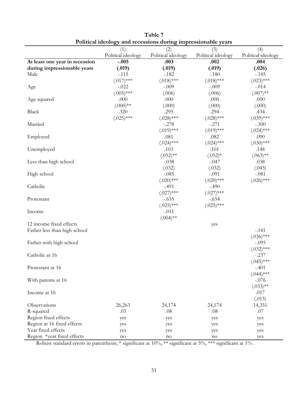|                                | I unical fuculogy and recessions during impressionable years |                           |                           |                           |
|--------------------------------|--------------------------------------------------------------|---------------------------|---------------------------|---------------------------|
|                                | (1)<br>Political ideology                                    | (2)<br>Political ideology | (3)<br>Political ideology | (4)<br>Political ideology |
| At least one year in recession | $-.005$                                                      | .003                      | .002                      | .004                      |
| during impressionable years    | (.019)                                                       | (.019)                    | (.019)                    | (.026)                    |
| Male                           | $-.115$                                                      | $-.182$                   | $-.180$                   | $-145$                    |
|                                | $(.017)$ ***                                                 | $(.018)$ ***              | $(.018)$ ***              | $(.023)$ ***              |
| Age                            | $-.022$                                                      | $-.009$                   | $-.009$                   | $-.014$                   |
|                                | $(.005)$ ***                                                 | (.006)                    | (.006)                    | $(.007)$ **               |
| Age squared                    | .000                                                         | .000                      | .000                      | .000                      |
|                                | $(.000)$ **                                                  | (.000)                    | (.000)                    | (.000)                    |
| Black                          | .320                                                         | .295                      | .294                      | .434                      |
|                                | $(.025)$ ***                                                 | $(.028)$ ***              | $(.028)$ ***              | $(.039)$ ***              |
| Married                        |                                                              | $-.278$                   | $-.271$                   | $-.300$                   |
|                                |                                                              | $(.019)$ ***              | $(.019)$ ***              | $(.024)$ ***              |
| Employed                       |                                                              | .081                      | .082                      | .090                      |
|                                |                                                              | $(.024)$ ***              | $(.024)$ ***              | $(.030)$ ***              |
| Unemployed                     |                                                              | .103                      | .101                      | .148                      |
|                                |                                                              | $(.052)$ **               | $(.052)*$                 | $(.063)$ **               |
| Less than high school          |                                                              | $-.038$                   | $-.047$                   | .038                      |
|                                |                                                              | (.032)                    | (.032)                    | (.043)                    |
| High school                    |                                                              | $-.085$                   | $-.091$                   | $-.081$                   |
|                                |                                                              | $(.020)$ ***              | $(.020)$ ***              | $(.026)$ ***              |
| Catholic                       |                                                              | $-.491$                   | $-.490$                   |                           |
|                                |                                                              | $(.027)$ ***              | $(.027)$ ***              |                           |
| Protestant                     |                                                              | $-.655$                   | $-.654$                   |                           |
|                                |                                                              | $(.025)$ ***              | $(.025)$ ***              |                           |
| Income                         |                                                              | $-.011$                   |                           |                           |
|                                |                                                              | $(.004)$ **               |                           |                           |
| 12 income fixed effects        |                                                              |                           | yes                       |                           |
| Father less than high school   |                                                              |                           |                           | $-.141$                   |
|                                |                                                              |                           |                           | $(.036)$ ***              |
| Father with high school        |                                                              |                           |                           | $-.095$                   |
|                                |                                                              |                           |                           | $(.032)$ ***              |
| Catholic at 16                 |                                                              |                           |                           | $-.237$                   |
|                                |                                                              |                           |                           | $(.045)$ ***              |
| Protestant at 16               |                                                              |                           |                           | $-.401$                   |
|                                |                                                              |                           |                           | $(.044)$ ***              |
| With parents at 16             |                                                              |                           |                           | $-.076$                   |
|                                |                                                              |                           |                           | $(.033)$ **               |
| Income at 16                   |                                                              |                           |                           | .017                      |
|                                |                                                              |                           |                           | (.015)                    |
| Observations                   | 26,263                                                       | 24,174                    | 24,174                    | 14,351                    |
| R-squared                      | .03                                                          | .08                       | .08                       | .07                       |
| Region fixed effects           | yes                                                          | yes                       | yes                       | yes                       |
| Region at 16 fixed effects     | yes                                                          | yes                       | yes                       | yes                       |
| Year fixed effects             | yes                                                          | yes                       | yes                       | yes                       |
| Region *year fixed effects     | no                                                           | no                        | no                        | yes                       |

**Table 7 Political ideology and recessions during impressionable years**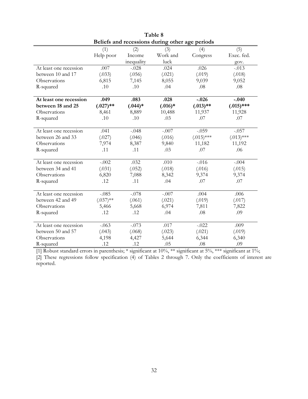| Beliefs and recessions during other age periods |             |            |           |              |              |
|-------------------------------------------------|-------------|------------|-----------|--------------|--------------|
|                                                 | (1)         | (2)        | (3)       | (4)          | (5)          |
|                                                 | Help poor   | Income     | Work and  | Congress     | Exec. fed.   |
|                                                 |             | inequality | luck      |              | gov.         |
| At least one recession                          | .007        | $-.028$    | .024      | .026         | $-.013$      |
| between 10 and 17                               | (.033)      | (.056)     | (.021)    | (.019)       | (.018)       |
| Observations                                    | 6,815       | 7,145      | 8,055     | 9,039        | 9,052        |
| R-squared                                       | .10         | .10        | .04       | .08          | .08          |
|                                                 |             |            |           |              |              |
| At least one recession                          | .049        | .083       | .028      | $-.026$      | $-.040$      |
| between 18 and 25                               | $(.027)$ ** | $(.044)*$  | $(.016)*$ | $(.013)$ **  | $(.015)$ *** |
| Observations                                    | 8,461       | 8,889      | 10,488    | 11,937       | 11,928       |
| R-squared                                       | .10         | .10        | .03       | .07          | .07          |
|                                                 |             |            |           |              |              |
| At least one recession                          | .041        | $-.048$    | $-.007$   | $-.059$      | $-.057$      |
| between 26 and 33                               | (.027)      | (.046)     | (.016)    | $(.015)$ *** | $(.013)$ *** |
| Observations                                    | 7,974       | 8,387      | 9,840     | 11,182       | 11,192       |
| R-squared                                       | .11         | .11        | .03       | .07          | .06          |
| At least one recession                          | $-.002$     | .032       | .010      | $-.016$      | $-.004$      |
| between 34 and 41                               | (.031)      | (.052)     | (.018)    | (.016)       | (.015)       |
| Observations                                    | 6,820       |            |           | 9,374        | 9,374        |
|                                                 | .12         | 7,088      | 8,342     |              |              |
| R-squared                                       |             | .11        | .04       | .07          | .07          |
| At least one recession                          | $-.085$     | $-.078$    | $-.007$   | .004         | .006         |
| between 42 and 49                               | $(.037)$ ** | (.061)     | (.021)    | (.019)       | (.017)       |
| Observations                                    | 5,466       | 5,668      | 6,974     | 7,811        | 7,822        |
| R-squared                                       | .12         | .12        | .04       | .08          | .09          |
|                                                 |             |            |           |              |              |
| At least one recession                          | $-.063$     | $-.073$    | .017      | $-.022$      | .009         |
| between 50 and 57                               | (.043)      | (.068)     | (.023)    | (.021)       | (.019)       |
| Observations                                    | 4,198       | 4,427      | 5,644     | 6,344        | 6,340        |
| R-squared                                       | .12         | .12        | .05       | .08          | .09          |

**Table 8** 

[1] Robust standard errors in parenthesis; \* significant at 10%, \*\* significant at 5%, \*\*\* significant at 1%; [2] These regressions follow specification (4) of Tables 2 through 7. Only the coefficients of interest are reported.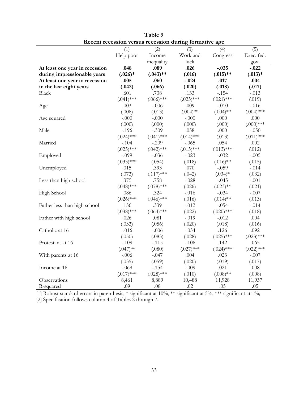| Recent recession versus recession during formative age |              |              |              |              |              |  |
|--------------------------------------------------------|--------------|--------------|--------------|--------------|--------------|--|
|                                                        | (1)          | (2)          | (3)          | (4)          | (5)          |  |
|                                                        | Help poor    | Income       | Work and     | Congress     | Exec. fed.   |  |
|                                                        |              | inequality   | luck         |              | gov.         |  |
| At least one year in recession                         | .048         | .089         | .026         | $-.035$      | $-.022$      |  |
| during impressionable years                            | $(.026)*$    | $(.043)$ **  | (.016)       | $(.015)$ **  | $(.013)*$    |  |
| At least one year in recession                         | .005         | .060         | $-.024$      | .017         | .004         |  |
| in the last eight years                                | (.042)       | (.066)       | (.020)       | (.018)       | (.017)       |  |
| <b>Black</b>                                           | .601         | .738         | .133         | $-.154$      | $-.013$      |  |
|                                                        | $(.041)$ *** | $(.066)$ *** | $(.025)$ *** | $(.021)$ *** | (.019)       |  |
| Age                                                    | .003         | $-.006$      | .009         | $-.010$      | $-.016$      |  |
|                                                        | (.008)       | (.013)       | $(.004)$ **  | $(.004)$ **  | $(.004)$ *** |  |
| Age squared                                            | $-.000$      | $-.000$      | $-.000$      | .000         | .000         |  |
|                                                        | (.000)       | (.000)       | (.000)       | (.000)       | $(.000)$ *** |  |
| Male                                                   | $-.196$      | $-.309$      | .058         | .000         | $-.050$      |  |
|                                                        | $(.024)$ *** | $(.041)$ *** | $(.014)$ *** | (.013)       | $(.011)$ *** |  |
| Married                                                | $-.104$      | $-.209$      | $-.065$      | .054         | .002         |  |
|                                                        | $(.025)$ *** | $(.042)$ *** | $(.015)$ *** | $(.013)$ *** | (.012)       |  |
| Employed                                               | $-.099$      | $-.036$      | $-.023$      | $-.032$      | $-.005$      |  |
|                                                        | $(.033)$ *** | (.054)       | (.018)       | $(.016)$ **  | (.015)       |  |
| Unemployed                                             | .015         | .393         | .070         | $-.059$      | $-.014$      |  |
|                                                        | (.073)       | $(.117)$ *** | (.042)       | $(.034)*$    | (.032)       |  |
| Less than high school                                  | .375         | .758         | $-.028$      | $-.045$      | $-.001$      |  |
|                                                        | $(.048)$ *** | $(.078)$ *** | (.026)       | $(.023)$ **  | (.021)       |  |
| High School                                            | .086         | .324         | $-.016$      | $-.034$      | $-.007$      |  |
|                                                        | $(.026)$ *** | $(.046)$ *** | (.016)       | $(.014)$ **  | (.013)       |  |
| Father less than high school                           | .156         | .339         | $-.012$      | $-.054$      | $-.014$      |  |
|                                                        | $(.038)$ *** | $(.064)$ *** | (.022)       | $(.020)$ *** | (.018)       |  |
| Father with high school                                | .026         | .081         | $-.019$      | $-.012$      | .004         |  |
|                                                        | (.033)       | (.056)       | (.020)       | (.018)       | (.016)       |  |
| Catholic at 16                                         | $-.016$      | $-.006$      | $-.034$      | .126         | .092         |  |
|                                                        | (.050)       | (.083)       | (.028)       | $(.025)$ *** | $(.023)$ *** |  |
| Protestant at 16                                       | $-.109$      | $-.115$      | $-.106$      | .142         | .065         |  |
|                                                        | $(.047)$ **  | (.080)       | $(.027)$ *** | $(.024)$ *** | $(.022)$ *** |  |
| With parents at 16                                     | $-.006$      | $-.047$      | .004         | .023         | $-.007$      |  |
|                                                        | (.035)       | (.059)       | (.020)       | (.019)       | (.017)       |  |
| Income at 16                                           | $-.069$      | $-.154$      | $-.009$      | .021         | .008         |  |
|                                                        | $(.017)$ *** | $(.028)$ *** | (.010)       | $(.008)$ **  | (.008)       |  |
| Observations                                           | 8,461        | 8,889        | 10,488       | 11,928       | 11,937       |  |
| R-squared                                              | .09          | .08          | .02          | .05          | .05          |  |

**Table 9** 

[1] Robust standard errors in parenthesis; \* significant at 10%, \*\* significant at 5%, \*\*\* significant at 1%; [2] Specification follows column 4 of Tables 2 through 7.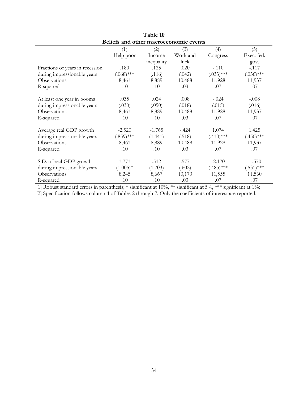| Beliefs and other macroeconomic events |              |            |          |              |              |  |  |
|----------------------------------------|--------------|------------|----------|--------------|--------------|--|--|
|                                        | (1)          | (2)        | (3)      | (4)          | (5)          |  |  |
|                                        | Help poor    | Income     | Work and | Congress     | Exec. fed.   |  |  |
|                                        |              | inequality | luck     |              | gov.         |  |  |
| Fractions of years in recession        | .180         | .125       | .020     | $-.110$      | $-.117$      |  |  |
| during impressionable years            | $(.068)$ *** | (.116)     | (.042)   | $(.033)$ *** | $(.036)$ *** |  |  |
| Observations                           | 8,461        | 8,889      | 10,488   | 11,928       | 11,937       |  |  |
| R-squared                              | .10          | .10        | .03      | .07          | .07          |  |  |
| At least one year in booms             | .035         | .024       | .008     | $-.024$      | $-.008$      |  |  |
| during impressionable years            | (.030)       | (.050)     | (.018)   | (.015)       | (.016)       |  |  |
| Observations                           | 8,461        | 8,889      | 10,488   | 11,928       | 11,937       |  |  |
| R-squared                              | .10          | .10        | .03      | .07          | .07          |  |  |
| Average real GDP growth                | $-2.520$     | $-1.765$   | $-.424$  | 1.074        | 1.425        |  |  |
| during impressionable years            | $(.859)$ *** | (1.441)    | (.518)   | $(.410)$ *** | $(.450)$ *** |  |  |
| Observations                           | 8,461        | 8,889      | 10,488   | 11,928       | 11,937       |  |  |
| R-squared                              | .10          | .10        | .03      | .07          | .07          |  |  |
| S.D. of real GDP growth                | 1.771        | .512       | .577     | $-2.170$     | $-1.570$     |  |  |
| during impressionable years            | $(1.005)*$   | (1.703)    | (.602)   | $(.485)$ *** | $(.531)$ *** |  |  |
| Observations                           | 8,245        | 8,667      | 10,173   | 11,555       | 11,560       |  |  |
| R-squared                              | .10          | .10        | .03      | .07          | .07          |  |  |

**Table 10** 

[2] Specification follows column 4 of Tables 2 through 7. Only the coefficients of interest are reported.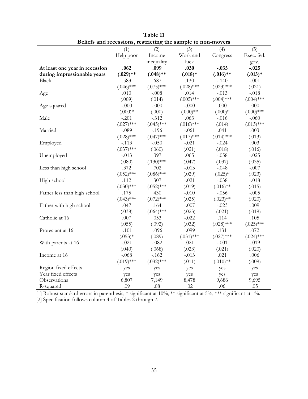|                                | (1)          | (2)          | Dencis and recessions, resulting the sample to hon-movers<br>(3) | (4)          | (5)          |
|--------------------------------|--------------|--------------|------------------------------------------------------------------|--------------|--------------|
|                                | Help poor    | Income       | Work and                                                         | Congress     | Exec. fed.   |
|                                |              | inequality   | luck                                                             |              | gov.         |
| At least one year in recession | .062         | .099         | .030                                                             | $-.035$      | $-.025$      |
| during impressionable years    | $(.029)$ **  | $(.048)$ **  | $(.018)*$                                                        | $(.016)$ **  | $(.015)*$    |
| <b>Black</b>                   | .583         | .687         | .130                                                             | $-.140$      | $-.001$      |
|                                | $(.046)$ *** | $(.075)$ *** | $(.028)$ ***                                                     | $(.023)***$  | (.021)       |
| Age                            | .010         | $-.008$      | .014                                                             | $-.013$      | $-.018$      |
|                                | (.009)       | (.014)       | $(.005)$ ***                                                     | $(.004)$ *** | $(.004)$ *** |
|                                | $-.000$      | $-.000$      | $-.000$                                                          | .000         | .000         |
| Age squared                    |              |              |                                                                  |              |              |
|                                | $(.000)*$    | (.000)       | $(.000)$ **                                                      | $(.000)*$    | $(.000)$ *** |
| Male                           | $-.201$      | $-.312$      | .063                                                             | $-.016$      | $-.060$      |
|                                | $(.027)$ *** | $(.045)$ *** | $(.016)$ ***                                                     | (.014)       | $(.013)$ *** |
| Married                        | $-.089$      | $-.196$      | $-.061$                                                          | .041         | .003         |
|                                | $(.028)$ *** | $(.047)$ *** | $(.017)$ ***                                                     | $(.014)$ *** | (.013)       |
| Employed                       | -.113        | $-.050$      | -.021                                                            | $-.024$      | .003         |
|                                | $(.037)$ *** | (.060)       | (.021)                                                           | (.018)       | (.016)       |
| Unemployed                     | $-.013$      | .397         | .065                                                             | $-.058$      | $-.025$      |
|                                | (.080)       | $(.130)$ *** | (.047)                                                           | (.037)       | (.035)       |
| Less than high school          | .372         | .702         | $-.013$                                                          | $-.048$      | $-.007$      |
|                                | $(.052)$ *** | $(.086)$ *** | (.029)                                                           | $(.025)*$    | (.023)       |
| High school                    | .112         | .307         | $-.021$                                                          | $-.038$      | $-.018$      |
|                                | $(.030)$ *** | $(.052)$ *** | (.019)                                                           | $(.016)$ **  | (.015)       |
| Father less than high school   | .175         | .430         | $-.010$                                                          | $-.056$      | $-.005$      |
|                                | $(.043)$ *** | $(.072)$ *** | (.025)                                                           | $(.023)$ **  | (.020)       |
| Father with high school        | .047         | .164         | $-.007$                                                          | $-.023$      | .009         |
|                                | (.038)       | $(.064)$ *** | (.023)                                                           | (.021)       | (.019)       |
| Catholic at 16                 | .007         | .053         | $-.022$                                                          | .114         | .105         |
|                                | (.055)       | (.092)       | (.032)                                                           | $(.028)$ *** | $(.025)$ *** |
| Protestant at 16               | $-.101$      | $-.096$      | $-.099$                                                          | .131         | .072         |
|                                | $(.053)*$    | (.089)       | $(.031)$ ***                                                     | $(.027)$ *** | $(.024)$ *** |
| With parents at 16             | $-.021$      | $-.082$      | .021                                                             | $-.001$      | $-.019$      |
|                                | (.040)       | (.068)       | (.023)                                                           | (.021)       | (.020)       |
| Income at 16                   | $-.068$      | $-162$       | $-.013$                                                          | .021         | .006         |
|                                | $(.019)$ *** | $(.032)$ *** | (.011)                                                           | $(.010)**$   | (.009)       |
| Region fixed effects           | yes          | yes          | yes                                                              | yes          | yes          |
| Year fixed effects             | yes          | yes          | yes                                                              | yes          | yes          |
| Observations                   | 6,807        | 7,149        | 8,478                                                            | 9,686        | 9,695        |
| R-squared                      | .09          | .08          | .02                                                              | .06          | .05          |

**Table 11 Beliefs and recessions, restricting the sample to non-movers** 

[2] Specification follows column 4 of Tables 2 through 7.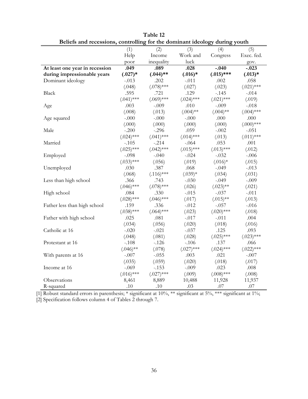| Dencis and recessions, controlling for the dominiant rucology | (1)          | (2)          | (3)          | $\frac{1}{2}$<br>(4) | vouu<br>(5)  |
|---------------------------------------------------------------|--------------|--------------|--------------|----------------------|--------------|
|                                                               | Help         | Income       | Work and     | Congress             | Exec. fed.   |
|                                                               | poor         | inequality   | luck         |                      | gov.         |
| At least one year in recession                                | .049         | .089         | .028         | $-.040$              | $-.023$      |
| during impressionable years                                   | $(.027)*$    | $(.044)$ **  | $(.016)*$    | $(.015)$ ***         | $(.013)*$    |
| Dominant ideology                                             | $-.013$      | .202         | $-.011$      | .002                 | .058         |
|                                                               | (.048)       | $(.078)$ *** | (.027)       | (.023)               | $(.021)$ *** |
| <b>Black</b>                                                  | .595         | .721         | .129         | $-.145$              | $-.014$      |
|                                                               | $(.041)$ *** | $(.069)$ *** | $(.024)$ *** | $(.021)$ ***         | (.019)       |
| Age                                                           | .003         | $-.009$      | .010         | $-.009$              | $-.018$      |
|                                                               | (.008)       | (.013)       | $(.004)$ **  | $(.004)$ **          | $(.004)$ *** |
| Age squared                                                   | $-.000$      | $-.000$      | $-.000$      | .000                 | $.000\,$     |
|                                                               | (.000)       | (.000)       | (.000)       | (.000)               | $(.000)$ *** |
| Male                                                          | $-.200$      | $-.296$      | .059         | $-.002$              | $-.051$      |
|                                                               | $(.024)$ *** | $(.041)$ *** | $(.014)$ *** | (.013)               | $(.011)$ *** |
| Married                                                       | $-.105$      | $-.214$      | $-.064$      | .053                 | .001         |
|                                                               | $(.025)$ *** | $(.042)$ *** | $(.015)$ *** | $(.013)$ ***         | (.012)       |
| Employed                                                      | $-.098$      | $-.040$      | $-.024$      | $-.032$              | $-.006$      |
|                                                               | $(.033)$ *** | (.056)       | (.019)       | $(.016)*$            | (.015)       |
| Unemployed                                                    | .030         | .387         | .068         | $-.049$              | $-.013$      |
|                                                               | (.068)       | $(.116)$ *** | $(.039)*$    | (.034)               | (.031)       |
| Less than high school                                         | .366         | .743         | $-.030$      | $-.049$              | $-.009$      |
|                                                               | $(.046)$ *** | $(.078)$ *** | (.026)       | $(.023)$ **          | (.021)       |
| High school                                                   | .084         | .330         | $-.015$      | $-.037$              | $-.011$      |
|                                                               | $(.028)$ *** | $(.046)$ *** | (.017)       | $(.015)$ **          | (.013)       |
| Father less than high school                                  | .159         | .336         | $-.012$      | $-.057$              | $-.016$      |
|                                                               | $(.038)$ *** | $(.064)$ *** | (.023)       | $(.020)$ ***         | (.018)       |
| Father with high school                                       | .025         | .081         | $-.017$      | $-.011$              | .004         |
|                                                               | (.034)       | (.056)       | (.020)       | (.018)               | (.016)       |
| Catholic at 16                                                | $-.020$      | $-.021$      | $-.037$      | .125                 | .093         |
|                                                               | (.048)       | (.081)       | (.028)       | $(.025)$ ***         | $(.023)$ *** |
| Protestant at 16                                              | $-.108$      | $-.126$      | $-.106$      | .137                 | .066         |
|                                                               | $(.046)$ **  | (.078)       | $(.027)$ *** | $(.024)$ ***         | $(.022)$ *** |
| With parents at 16                                            | $-.007$      | $-.055$      | .003         | .021                 | $-.007$      |
|                                                               | (.035)       | (.059)       | (.020)       | (.018)               | (.017)       |
| Income at 16                                                  | $-.069$      | $-.153$      | $-.009$      | .023                 | .008         |
|                                                               | $(.016)$ *** | $(.027)$ *** | (.009)       | $(.008)$ ***         | (.008)       |
| Observations                                                  | 8,461        | 8,889        | 10,488       | 11,928               | 11,937       |
| R-squared                                                     | .10          | .10          | .03          | .07                  | .07          |

**Table 12 Beliefs and recessions, controlling for the dominant ideology during youth** 

[2] Specification follows column 4 of Tables 2 through 7.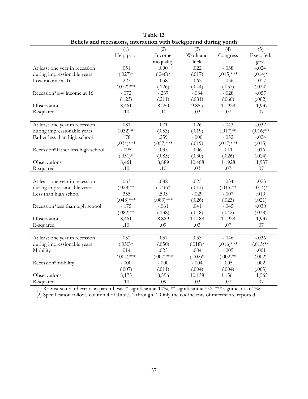| Beliefs and recessions, interaction with background during youth |              |              |           |              |             |
|------------------------------------------------------------------|--------------|--------------|-----------|--------------|-------------|
|                                                                  | (1)          | (2)          | (3)       | (4)          | (5)         |
|                                                                  | Help poor    | Income       | Work and  | Congress     | Exec. fed.  |
|                                                                  |              | inequality   | luck      |              | gov.        |
| At least one year in recession                                   | .051         | .090         | .022      | $-.038$      | $-.024$     |
| during impressionable years                                      | $(.027)$ *   | $(.046)*$    | (.017)    | $(.015)$ *** | $(.014)*$   |
| Low income at 16                                                 | .227         | .058         | .062      | $-.036$      | $-.017$     |
|                                                                  | $(.072)$ *** | (.126)       | (.044)    | (.037)       | (.034)      |
| Recession*low income at 16                                       | $-.072$      | $-.237$      | $-.084$   | $-.028$      | $-.057$     |
|                                                                  | (.123)       | (.211)       | (.081)    | (.068)       | (.062)      |
| Observations                                                     | 8,461        | 8,350        | 9,855     | 11,928       | 11,937      |
| R-squared                                                        | .10          | .10          | .03       | .07          | .07         |
|                                                                  |              |              |           |              |             |
| At least one year in recession                                   | .081         | .071         | .026      | $-.043$      | $-.032$     |
| during impressionable years                                      | $(.032)$ **  | (.053)       | (.019)    | $(.017)$ **  | $(.016)$ ** |
| Father less than high school                                     | .178         | .259         | $-.000$   | $-.052$      | $-.024$     |
|                                                                  | $(.034)$ *** | $(.057)$ *** | (.019)    | $(.017)$ *** | (.015)      |
| Recession*father less high school                                | $-.095$      | .035         | .006      | .011         | .016        |
|                                                                  | $(.051)*$    | (.085)       | (.030)    | (.026)       | (.024)      |
| Observations                                                     | 8,461        | 8,889        | 10,488    | 11,928       | 11,937      |
| R-squared                                                        | .10          | .10          | .03       | .07          | .07         |
|                                                                  |              |              |           |              |             |
| At least one year in recession                                   | .063         | .082         | .025      | $-.034$      | $-.023$     |
| during impressionable years                                      | $(.028)$ **  | $(.046)*$    | (.017)    | $(.015)$ **  | $(.014)*$   |
| Less than high school                                            | .355         | .505         | $-.029$   | $-.007$      | .010        |
|                                                                  | $(.048)$ *** | $(.083)$ *** | (.026)    | (.023)       | (.021)      |
| Recession*less than high school                                  | $-.175$      | $-.061$      | .041      | $-.045$      | $-.030$     |
|                                                                  | $(.082)$ **  | (.138)       | (.048)    | (.042)       | (.038)      |
| Observations                                                     | 8,461        | 8,889        | 10,488    | 11,928       | 11,937      |
| R-squared                                                        | .10          | .09          | .03       | .07          | .07         |
|                                                                  |              |              |           |              |             |
| At least one year in recession                                   | .052         | .057         | .033      | $-.046$      | $-.036$     |
| during impressionable years                                      | $(.030)*$    | (.050)       | $(.018)*$ | $(.016)$ *** | $(.015)$ ** |
| Mobility                                                         | .014         | .025         | .004      | $-.005$      | $-.001$     |
|                                                                  | $(.004)$ *** | $(.007)$ *** | $(.002)*$ | $(.002)$ **  | (.002)      |
| Recession*mobility                                               | $-.000$      | $-.000$      | $-.004$   | .005         | .002        |
|                                                                  | (.007)       | (.011)       | (.004)    | (.004)       | (.003)      |
| Observations                                                     | 8,175        | 8,596        | 10,138    | 11,561       | 11,565      |
| R-squared                                                        | $.10\,$      | .09          | .03       | $.07\,$      | $.07$       |

| Table 13                                                               |  |  |  |  |
|------------------------------------------------------------------------|--|--|--|--|
| ducts and research and determined in the health property during result |  |  |  |  |

[2] Specification follows column 4 of Tables 2 through 7. Only the coefficients of interest are reported.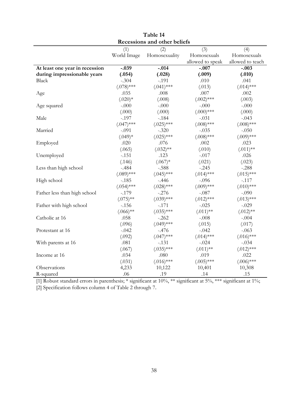| Recessions and other beliefs   |              |               |                  |                  |  |
|--------------------------------|--------------|---------------|------------------|------------------|--|
|                                | (1)          | (2)           | (3)              | (4)              |  |
|                                | World Image  | Homosexuality | Homosexuals      | Homosexuals      |  |
|                                |              |               | allowed to speak | allowed to teach |  |
| At least one year in recession | $-.039$      | $-.014$       | $-.007$          | $-.003$          |  |
| during impressionable years    | (.054)       | (.028)        | (.009)           | (.010)           |  |
| <b>Black</b>                   | $-.304$      | $-.191$       | .010             | .041             |  |
|                                | $(.078)$ *** | $(.041)$ ***  | (.013)           | $(.014)$ ***     |  |
| Age                            | .035         | .008          | .007             | .002             |  |
|                                | $(.020)*$    | (.008)        | $(.002)$ ***     | (.003)           |  |
| Age squared                    | $-.000$      | $-.000$       | $-.000$          | $-.000$          |  |
|                                | (.000)       | (.000)        | $(.000)$ ***     | (.000)           |  |
| Male                           | $-.197$      | $-.184$       | $-.031$          | $-.043$          |  |
|                                | $(.047)$ *** | $(.025)$ ***  | $(.008)$ ***     | $(.008)$ ***     |  |
| Married                        | $-.091$      | $-.320$       | $-.035$          | $-.050$          |  |
|                                | $(.049)*$    | $(.025)$ ***  | $(.008)$ ***     | $(.009)$ ***     |  |
| Employed                       | .020         | .076          | .002             | .023             |  |
|                                | (.065)       | $(.032)$ **   | (.010)           | $(.011)$ **      |  |
| Unemployed                     | $-.151$      | .123          | $-.017$          | .026             |  |
|                                | (.146)       | $(.067)*$     | (.021)           | (.023)           |  |
| Less than high school          | $-.484$      | $-.588$       | $-.245$          | $-.288$          |  |
|                                | $(.089)$ *** | $(.045)$ ***  | $(.014)$ ***     | $(.015)$ ***     |  |
| High school                    | $-.185$      | $-.446$       | $-.096$          | $-.117$          |  |
|                                | $(.054)$ *** | $(.028)$ ***  | $(.009)$ ***     | $(.010)$ ***     |  |
| Father less than high school   | $-.179$      | $-.276$       | $-.087$          | $-.090$          |  |
|                                | $(.075)$ **  | $(.039)$ ***  | $(.012)$ ***     | $(.013)$ ***     |  |
| Father with high school        | $-.156$      | $-.171$       | $-.025$          | $-.029$          |  |
|                                | $(.066)$ **  | $(.035)$ ***  | $(.011)$ **      | $(.012)$ **      |  |
| Catholic at 16                 | .058         | $-.262$       | $-.008$          | $-.004$          |  |
|                                | (.096)       | $(.049)$ ***  | (.015)           | (.017)           |  |
| Protestant at 16               | $-.042$      | $-.476$       | $-.042$          | $-.063$          |  |
|                                | (.092)       | $(.047)$ ***  | $(.014)$ ***     | $(.016)$ ***     |  |
| With parents at 16             | .081         | $-.131$       | $-.024$          | $-.034$          |  |
|                                | (.067)       | $(.035)$ ***  | $(.011)$ **      | $(.012)$ ***     |  |
| Income at 16                   | .034         | $.080\,$      | .019             | .022             |  |
|                                | (.031)       | $(.016)$ ***  | $(.005)$ ***     | $(.006)$ ***     |  |
| Observations                   | 4,233        | 10,122        | 10,401           | 10,308           |  |
| R-squared                      | .06          | .19           | .14              | .15              |  |

| Table 14                   |
|----------------------------|
| ecessions and other belief |

[2] Specification follows column 4 of Table 2 through 7.